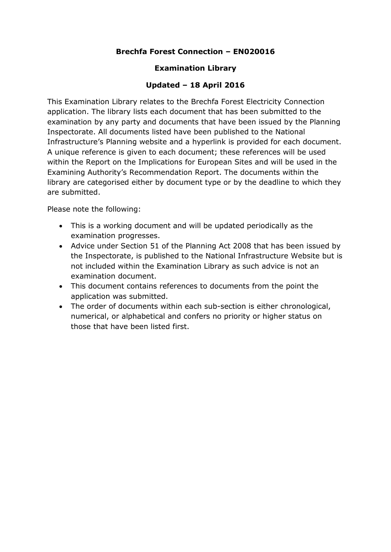### **Brechfa Forest Connection – EN020016**

#### **Examination Library**

### **Updated – 18 April 2016**

This Examination Library relates to the Brechfa Forest Electricity Connection application. The library lists each document that has been submitted to the examination by any party and documents that have been issued by the Planning Inspectorate. All documents listed have been published to the National Infrastructure's Planning website and a hyperlink is provided for each document. A unique reference is given to each document; these references will be used within the Report on the Implications for European Sites and will be used in the Examining Authority's Recommendation Report. The documents within the library are categorised either by document type or by the deadline to which they are submitted.

Please note the following:

- This is a working document and will be updated periodically as the examination progresses.
- Advice under Section 51 of the Planning Act 2008 that has been issued by the Inspectorate, is published to the National Infrastructure Website but is not included within the Examination Library as such advice is not an examination document.
- This document contains references to documents from the point the application was submitted.
- The order of documents within each sub-section is either chronological, numerical, or alphabetical and confers no priority or higher status on those that have been listed first.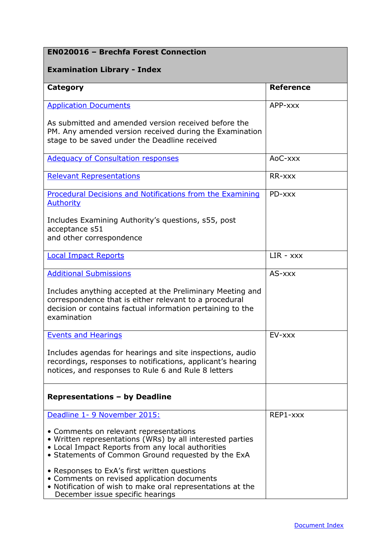# **EN020016 – Brechfa Forest Connection**

### **Examination Library - Index**

| <b>Category</b>                                                                                                                                                                                                | <b>Reference</b> |
|----------------------------------------------------------------------------------------------------------------------------------------------------------------------------------------------------------------|------------------|
| <b>Application Documents</b>                                                                                                                                                                                   | APP-xxx          |
| As submitted and amended version received before the<br>PM. Any amended version received during the Examination<br>stage to be saved under the Deadline received                                               |                  |
| <b>Adequacy of Consultation responses</b>                                                                                                                                                                      | AoC-xxx          |
| <b>Relevant Representations</b>                                                                                                                                                                                | RR-xxx           |
| <b>Procedural Decisions and Notifications from the Examining</b><br><b>Authority</b>                                                                                                                           | PD-xxx           |
| Includes Examining Authority's questions, s55, post<br>acceptance s51<br>and other correspondence                                                                                                              |                  |
| <b>Local Impact Reports</b>                                                                                                                                                                                    | $LIR - XXX$      |
| <b>Additional Submissions</b>                                                                                                                                                                                  | AS-xxx           |
| Includes anything accepted at the Preliminary Meeting and<br>correspondence that is either relevant to a procedural<br>decision or contains factual information pertaining to the<br>examination               |                  |
| <b>Events and Hearings</b>                                                                                                                                                                                     | EV-xxx           |
| Includes agendas for hearings and site inspections, audio<br>recordings, responses to notifications, applicant's hearing<br>notices, and responses to Rule 6 and Rule 8 letters                                |                  |
| <b>Representations - by Deadline</b>                                                                                                                                                                           |                  |
| Deadline 1- 9 November 2015:                                                                                                                                                                                   | REP1-xxx         |
| • Comments on relevant representations<br>• Written representations (WRs) by all interested parties<br>• Local Impact Reports from any local authorities<br>• Statements of Common Ground requested by the ExA |                  |
| • Responses to ExA's first written questions<br>• Comments on revised application documents<br>• Notification of wish to make oral representations at the<br>December issue specific hearings                  |                  |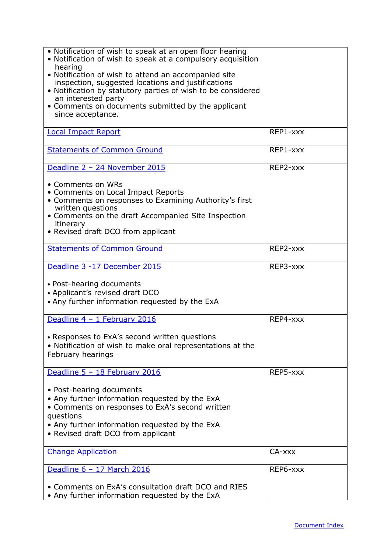| • Notification of wish to speak at an open floor hearing<br>• Notification of wish to speak at a compulsory acquisition<br>hearing<br>• Notification of wish to attend an accompanied site<br>inspection, suggested locations and justifications<br>• Notification by statutory parties of wish to be considered<br>an interested party<br>• Comments on documents submitted by the applicant<br>since acceptance. |          |
|--------------------------------------------------------------------------------------------------------------------------------------------------------------------------------------------------------------------------------------------------------------------------------------------------------------------------------------------------------------------------------------------------------------------|----------|
| <b>Local Impact Report</b>                                                                                                                                                                                                                                                                                                                                                                                         | REP1-xxx |
| <b>Statements of Common Ground</b>                                                                                                                                                                                                                                                                                                                                                                                 | REP1-xxx |
| Deadline 2 - 24 November 2015                                                                                                                                                                                                                                                                                                                                                                                      | REP2-xxx |
| • Comments on WRs<br>• Comments on Local Impact Reports<br>• Comments on responses to Examining Authority's first<br>written questions<br>• Comments on the draft Accompanied Site Inspection<br>itinerary<br>• Revised draft DCO from applicant                                                                                                                                                                   |          |
| <b>Statements of Common Ground</b>                                                                                                                                                                                                                                                                                                                                                                                 | REP2-xxx |
| Deadline 3 -17 December 2015                                                                                                                                                                                                                                                                                                                                                                                       | REP3-xxx |
| • Post-hearing documents<br>• Applicant's revised draft DCO<br>• Any further information requested by the ExA                                                                                                                                                                                                                                                                                                      |          |
| Deadline 4 - 1 February 2016                                                                                                                                                                                                                                                                                                                                                                                       | REP4-xxx |
| • Responses to ExA's second written questions<br>• Notification of wish to make oral representations at the<br>February hearings                                                                                                                                                                                                                                                                                   |          |
| Deadline 5 - 18 February 2016                                                                                                                                                                                                                                                                                                                                                                                      | REP5-xxx |
| • Post-hearing documents<br>• Any further information requested by the ExA<br>• Comments on responses to ExA's second written<br>questions<br>• Any further information requested by the ExA<br>• Revised draft DCO from applicant                                                                                                                                                                                 |          |
| <b>Change Application</b>                                                                                                                                                                                                                                                                                                                                                                                          | CA-xxx   |
| Deadline 6 - 17 March 2016                                                                                                                                                                                                                                                                                                                                                                                         | REP6-xxx |
| • Comments on ExA's consultation draft DCO and RIES<br>• Any further information requested by the ExA                                                                                                                                                                                                                                                                                                              |          |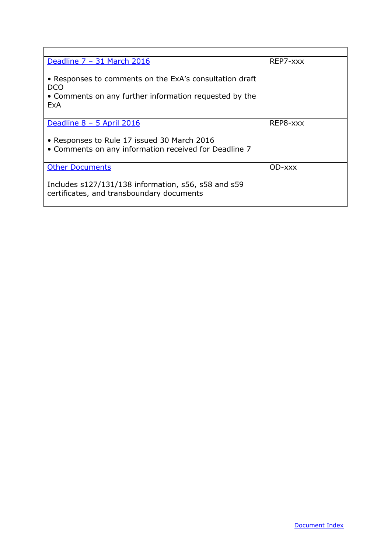| Deadline 7 - 31 March 2016                                                                                                       | REP7-xxx |
|----------------------------------------------------------------------------------------------------------------------------------|----------|
| • Responses to comments on the ExA's consultation draft<br>DCO.<br>• Comments on any further information requested by the<br>ExA |          |
| Deadline $8 - 5$ April 2016                                                                                                      | REP8-xxx |
| • Responses to Rule 17 issued 30 March 2016<br>• Comments on any information received for Deadline 7                             |          |
| <b>Other Documents</b>                                                                                                           | OD-xxx   |
| Includes s127/131/138 information, s56, s58 and s59<br>certificates, and transboundary documents                                 |          |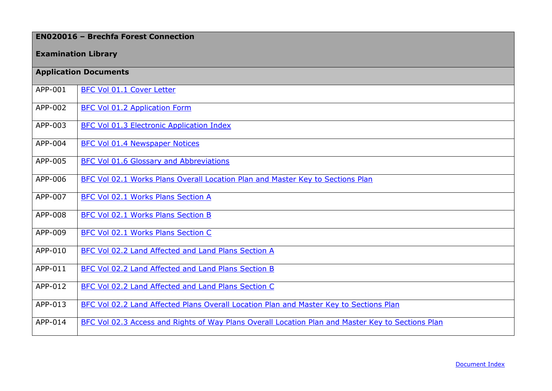## **EN020016 – Brechfa Forest Connection**

### **Examination Library**

<span id="page-4-0"></span>

|         | <b>Application Documents</b>                                                                      |
|---------|---------------------------------------------------------------------------------------------------|
| APP-001 | BFC Vol 01.1 Cover Letter                                                                         |
| APP-002 | <b>BFC Vol 01.2 Application Form</b>                                                              |
| APP-003 | <b>BFC Vol 01.3 Electronic Application Index</b>                                                  |
| APP-004 | <b>BFC Vol 01.4 Newspaper Notices</b>                                                             |
| APP-005 | <b>BFC Vol 01.6 Glossary and Abbreviations</b>                                                    |
| APP-006 | BFC Vol 02.1 Works Plans Overall Location Plan and Master Key to Sections Plan                    |
| APP-007 | BFC Vol 02.1 Works Plans Section A                                                                |
| APP-008 | <b>BFC Vol 02.1 Works Plans Section B</b>                                                         |
| APP-009 | <b>BFC Vol 02.1 Works Plans Section C</b>                                                         |
| APP-010 | BFC Vol 02.2 Land Affected and Land Plans Section A                                               |
| APP-011 | BFC Vol 02.2 Land Affected and Land Plans Section B                                               |
| APP-012 | BFC Vol 02.2 Land Affected and Land Plans Section C                                               |
| APP-013 | BFC Vol 02.2 Land Affected Plans Overall Location Plan and Master Key to Sections Plan            |
| APP-014 | BFC Vol 02.3 Access and Rights of Way Plans Overall Location Plan and Master Key to Sections Plan |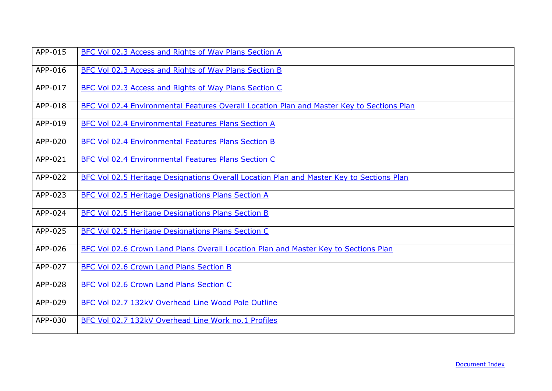| APP-015 | BFC Vol 02.3 Access and Rights of Way Plans Section A                                     |
|---------|-------------------------------------------------------------------------------------------|
| APP-016 | BFC Vol 02.3 Access and Rights of Way Plans Section B                                     |
| APP-017 | BFC Vol 02.3 Access and Rights of Way Plans Section C                                     |
| APP-018 | BFC Vol 02.4 Environmental Features Overall Location Plan and Master Key to Sections Plan |
| APP-019 | BFC Vol 02.4 Environmental Features Plans Section A                                       |
| APP-020 | BFC Vol 02.4 Environmental Features Plans Section B                                       |
| APP-021 | <b>BFC Vol 02.4 Environmental Features Plans Section C</b>                                |
| APP-022 | BFC Vol 02.5 Heritage Designations Overall Location Plan and Master Key to Sections Plan  |
| APP-023 | <b>BFC Vol 02.5 Heritage Designations Plans Section A</b>                                 |
| APP-024 | <b>BFC Vol 02.5 Heritage Designations Plans Section B</b>                                 |
| APP-025 | BFC Vol 02.5 Heritage Designations Plans Section C                                        |
| APP-026 | BFC Vol 02.6 Crown Land Plans Overall Location Plan and Master Key to Sections Plan       |
| APP-027 | BFC Vol 02.6 Crown Land Plans Section B                                                   |
| APP-028 | BFC Vol 02.6 Crown Land Plans Section C                                                   |
| APP-029 | BFC Vol 02.7 132kV Overhead Line Wood Pole Outline                                        |
| APP-030 | BFC Vol 02.7 132kV Overhead Line Work no.1 Profiles                                       |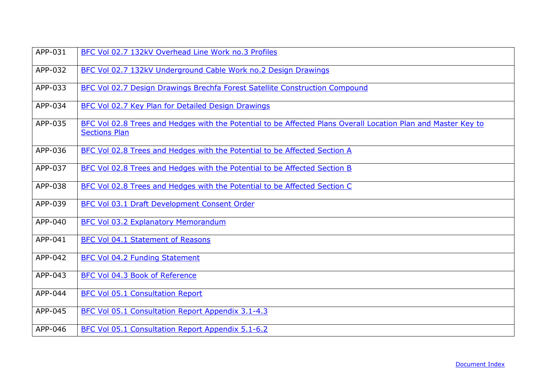| APP-031 | BFC Vol 02.7 132kV Overhead Line Work no.3 Profiles                                                                                   |
|---------|---------------------------------------------------------------------------------------------------------------------------------------|
| APP-032 | BFC Vol 02.7 132kV Underground Cable Work no.2 Design Drawings                                                                        |
| APP-033 | BFC Vol 02.7 Design Drawings Brechfa Forest Satellite Construction Compound                                                           |
| APP-034 | BFC Vol 02.7 Key Plan for Detailed Design Drawings                                                                                    |
| APP-035 | BFC Vol 02.8 Trees and Hedges with the Potential to be Affected Plans Overall Location Plan and Master Key to<br><b>Sections Plan</b> |
| APP-036 | BFC Vol 02.8 Trees and Hedges with the Potential to be Affected Section A                                                             |
| APP-037 | BFC Vol 02.8 Trees and Hedges with the Potential to be Affected Section B                                                             |
| APP-038 | BFC Vol 02.8 Trees and Hedges with the Potential to be Affected Section C                                                             |
| APP-039 | BFC Vol 03.1 Draft Development Consent Order                                                                                          |
| APP-040 | BFC Vol 03.2 Explanatory Memorandum                                                                                                   |
| APP-041 | <b>BFC Vol 04.1 Statement of Reasons</b>                                                                                              |
| APP-042 | BFC Vol 04.2 Funding Statement                                                                                                        |
| APP-043 | BFC Vol 04.3 Book of Reference                                                                                                        |
| APP-044 | <b>BFC Vol 05.1 Consultation Report</b>                                                                                               |
| APP-045 | BFC Vol 05.1 Consultation Report Appendix 3.1-4.3                                                                                     |
| APP-046 | BFC Vol 05.1 Consultation Report Appendix 5.1-6.2                                                                                     |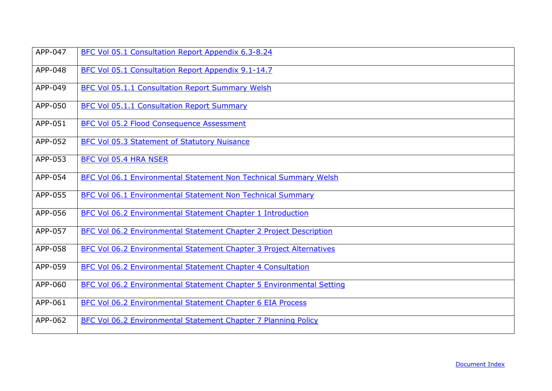| APP-047 | BFC Vol 05.1 Consultation Report Appendix 6.3-8.24                   |
|---------|----------------------------------------------------------------------|
| APP-048 | BFC Vol 05.1 Consultation Report Appendix 9.1-14.7                   |
| APP-049 | <b>BFC Vol 05.1.1 Consultation Report Summary Welsh</b>              |
| APP-050 | <b>BFC Vol 05.1.1 Consultation Report Summary</b>                    |
| APP-051 | BFC Vol 05.2 Flood Consequence Assessment                            |
| APP-052 | <b>BFC Vol 05.3 Statement of Statutory Nuisance</b>                  |
| APP-053 | BFC Vol 05.4 HRA NSER                                                |
| APP-054 | BFC Vol 06.1 Environmental Statement Non Technical Summary Welsh     |
| APP-055 | <b>BFC Vol 06.1 Environmental Statement Non Technical Summary</b>    |
| APP-056 | BFC Vol 06.2 Environmental Statement Chapter 1 Introduction          |
| APP-057 | BFC Vol 06.2 Environmental Statement Chapter 2 Project Description   |
| APP-058 | BFC Vol 06.2 Environmental Statement Chapter 3 Project Alternatives  |
| APP-059 | <b>BFC Vol 06.2 Environmental Statement Chapter 4 Consultation</b>   |
| APP-060 | BFC Vol 06.2 Environmental Statement Chapter 5 Environmental Setting |
| APP-061 | BFC Vol 06.2 Environmental Statement Chapter 6 EIA Process           |
| APP-062 | BFC Vol 06.2 Environmental Statement Chapter 7 Planning Policy       |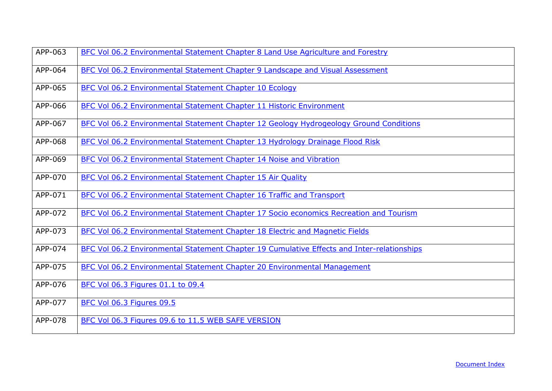| APP-063 | BFC Vol 06.2 Environmental Statement Chapter 8 Land Use Agriculture and Forestry           |
|---------|--------------------------------------------------------------------------------------------|
| APP-064 | BFC Vol 06.2 Environmental Statement Chapter 9 Landscape and Visual Assessment             |
| APP-065 | BFC Vol 06.2 Environmental Statement Chapter 10 Ecology                                    |
| APP-066 | BFC Vol 06.2 Environmental Statement Chapter 11 Historic Environment                       |
| APP-067 | BFC Vol 06.2 Environmental Statement Chapter 12 Geology Hydrogeology Ground Conditions     |
| APP-068 | BFC Vol 06.2 Environmental Statement Chapter 13 Hydrology Drainage Flood Risk              |
| APP-069 | BFC Vol 06.2 Environmental Statement Chapter 14 Noise and Vibration                        |
| APP-070 | BFC Vol 06.2 Environmental Statement Chapter 15 Air Quality                                |
| APP-071 | BFC Vol 06.2 Environmental Statement Chapter 16 Traffic and Transport                      |
| APP-072 | BFC Vol 06.2 Environmental Statement Chapter 17 Socio economics Recreation and Tourism     |
| APP-073 | BFC Vol 06.2 Environmental Statement Chapter 18 Electric and Magnetic Fields               |
| APP-074 | BFC Vol 06.2 Environmental Statement Chapter 19 Cumulative Effects and Inter-relationships |
| APP-075 | <b>BFC Vol 06.2 Environmental Statement Chapter 20 Environmental Management</b>            |
| APP-076 | BFC Vol 06.3 Figures 01.1 to 09.4                                                          |
| APP-077 | BFC Vol 06.3 Figures 09.5                                                                  |
| APP-078 | BFC Vol 06.3 Figures 09.6 to 11.5 WEB SAFE VERSION                                         |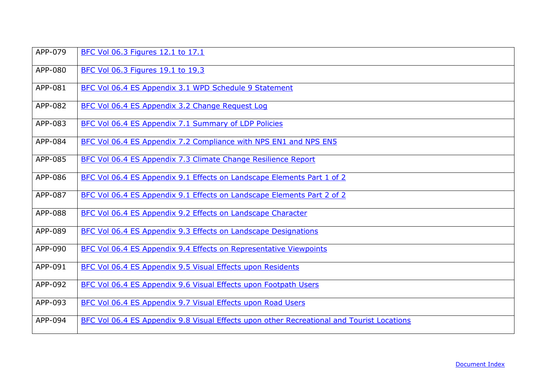| APP-079 | BFC Vol 06.3 Figures 12.1 to 17.1                                                         |
|---------|-------------------------------------------------------------------------------------------|
| APP-080 | BFC Vol 06.3 Figures 19.1 to 19.3                                                         |
| APP-081 | BFC Vol 06.4 ES Appendix 3.1 WPD Schedule 9 Statement                                     |
| APP-082 | BFC Vol 06.4 ES Appendix 3.2 Change Request Log                                           |
| APP-083 | BFC Vol 06.4 ES Appendix 7.1 Summary of LDP Policies                                      |
| APP-084 | BFC Vol 06.4 ES Appendix 7.2 Compliance with NPS EN1 and NPS EN5                          |
| APP-085 | BFC Vol 06.4 ES Appendix 7.3 Climate Change Resilience Report                             |
| APP-086 | BFC Vol 06.4 ES Appendix 9.1 Effects on Landscape Elements Part 1 of 2                    |
| APP-087 | BFC Vol 06.4 ES Appendix 9.1 Effects on Landscape Elements Part 2 of 2                    |
| APP-088 | BFC Vol 06.4 ES Appendix 9.2 Effects on Landscape Character                               |
| APP-089 | BFC Vol 06.4 ES Appendix 9.3 Effects on Landscape Designations                            |
| APP-090 | BFC Vol 06.4 ES Appendix 9.4 Effects on Representative Viewpoints                         |
| APP-091 | BFC Vol 06.4 ES Appendix 9.5 Visual Effects upon Residents                                |
| APP-092 | BFC Vol 06.4 ES Appendix 9.6 Visual Effects upon Footpath Users                           |
| APP-093 | BFC Vol 06.4 ES Appendix 9.7 Visual Effects upon Road Users                               |
| APP-094 | BFC Vol 06.4 ES Appendix 9.8 Visual Effects upon other Recreational and Tourist Locations |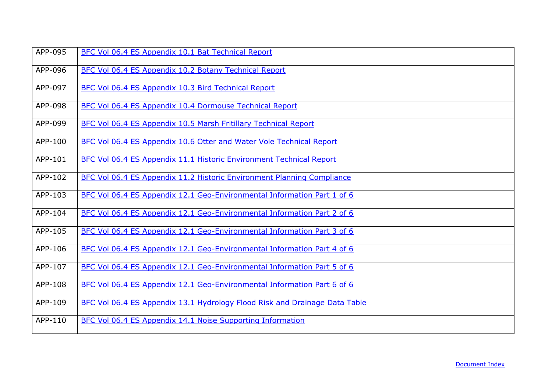| APP-095 | BFC Vol 06.4 ES Appendix 10.1 Bat Technical Report                         |
|---------|----------------------------------------------------------------------------|
| APP-096 | BFC Vol 06.4 ES Appendix 10.2 Botany Technical Report                      |
| APP-097 | BFC Vol 06.4 ES Appendix 10.3 Bird Technical Report                        |
| APP-098 | BFC Vol 06.4 ES Appendix 10.4 Dormouse Technical Report                    |
| APP-099 | BFC Vol 06.4 ES Appendix 10.5 Marsh Fritillary Technical Report            |
| APP-100 | BFC Vol 06.4 ES Appendix 10.6 Otter and Water Vole Technical Report        |
| APP-101 | BFC Vol 06.4 ES Appendix 11.1 Historic Environment Technical Report        |
| APP-102 | BFC Vol 06.4 ES Appendix 11.2 Historic Environment Planning Compliance     |
| APP-103 | BFC Vol 06.4 ES Appendix 12.1 Geo-Environmental Information Part 1 of 6    |
| APP-104 | BFC Vol 06.4 ES Appendix 12.1 Geo-Environmental Information Part 2 of 6    |
| APP-105 | BFC Vol 06.4 ES Appendix 12.1 Geo-Environmental Information Part 3 of 6    |
| APP-106 | BFC Vol 06.4 ES Appendix 12.1 Geo-Environmental Information Part 4 of 6    |
| APP-107 | BFC Vol 06.4 ES Appendix 12.1 Geo-Environmental Information Part 5 of 6    |
| APP-108 | BFC Vol 06.4 ES Appendix 12.1 Geo-Environmental Information Part 6 of 6    |
| APP-109 | BFC Vol 06.4 ES Appendix 13.1 Hydrology Flood Risk and Drainage Data Table |
| APP-110 | BFC Vol 06.4 ES Appendix 14.1 Noise Supporting Information                 |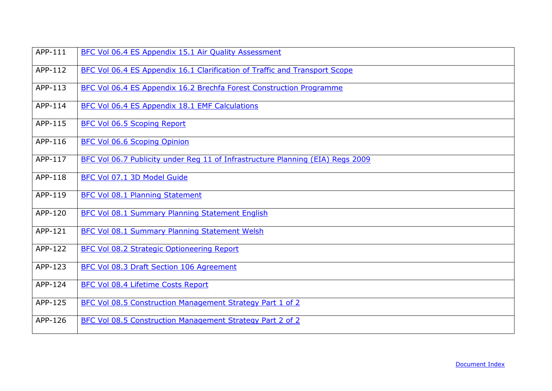| APP-111 | BFC Vol 06.4 ES Appendix 15.1 Air Quality Assessment                           |
|---------|--------------------------------------------------------------------------------|
| APP-112 | BFC Vol 06.4 ES Appendix 16.1 Clarification of Traffic and Transport Scope     |
| APP-113 | BFC Vol 06.4 ES Appendix 16.2 Brechfa Forest Construction Programme            |
| APP-114 | BFC Vol 06.4 ES Appendix 18.1 EMF Calculations                                 |
| APP-115 | BFC Vol 06.5 Scoping Report                                                    |
| APP-116 | <b>BFC Vol 06.6 Scoping Opinion</b>                                            |
| APP-117 | BFC Vol 06.7 Publicity under Reg 11 of Infrastructure Planning (EIA) Regs 2009 |
| APP-118 | BFC Vol 07.1 3D Model Guide                                                    |
| APP-119 | <b>BFC Vol 08.1 Planning Statement</b>                                         |
| APP-120 | BFC Vol 08.1 Summary Planning Statement English                                |
| APP-121 | BFC Vol 08.1 Summary Planning Statement Welsh                                  |
| APP-122 | <b>BFC Vol 08.2 Strategic Optioneering Report</b>                              |
| APP-123 | BFC Vol 08.3 Draft Section 106 Agreement                                       |
| APP-124 | BFC Vol 08.4 Lifetime Costs Report                                             |
| APP-125 | BFC Vol 08.5 Construction Management Strategy Part 1 of 2                      |
| APP-126 | BFC Vol 08.5 Construction Management Strategy Part 2 of 2                      |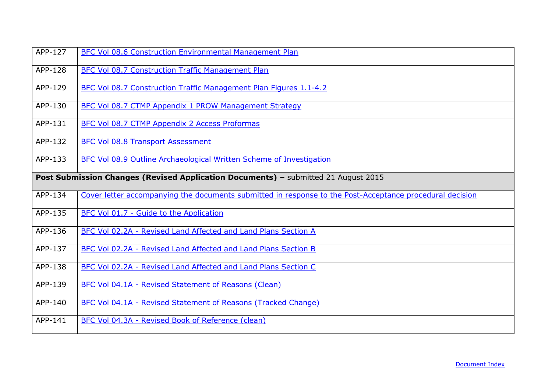| APP-127 | BFC Vol 08.6 Construction Environmental Management Plan                                                  |
|---------|----------------------------------------------------------------------------------------------------------|
| APP-128 | <b>BFC Vol 08.7 Construction Traffic Management Plan</b>                                                 |
| APP-129 | BFC Vol 08.7 Construction Traffic Management Plan Figures 1.1-4.2                                        |
| APP-130 | <b>BFC Vol 08.7 CTMP Appendix 1 PROW Management Strategy</b>                                             |
| APP-131 | BFC Vol 08.7 CTMP Appendix 2 Access Proformas                                                            |
| APP-132 | <b>BFC Vol 08.8 Transport Assessment</b>                                                                 |
| APP-133 | BFC Vol 08.9 Outline Archaeological Written Scheme of Investigation                                      |
|         | Post Submission Changes (Revised Application Documents) - submitted 21 August 2015                       |
| APP-134 | Cover letter accompanying the documents submitted in response to the Post-Acceptance procedural decision |
| APP-135 | BFC Vol 01.7 - Guide to the Application                                                                  |
| APP-136 | BFC Vol 02.2A - Revised Land Affected and Land Plans Section A                                           |
| APP-137 | BFC Vol 02.2A - Revised Land Affected and Land Plans Section B                                           |
| APP-138 | BFC Vol 02.2A - Revised Land Affected and Land Plans Section C                                           |
| APP-139 | BFC Vol 04.1A - Revised Statement of Reasons (Clean)                                                     |
| APP-140 | BFC Vol 04.1A - Revised Statement of Reasons (Tracked Change)                                            |
| APP-141 | BFC Vol 04.3A - Revised Book of Reference (clean)                                                        |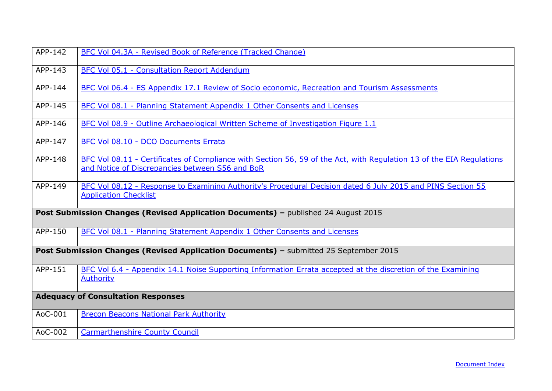<span id="page-13-0"></span>

| APP-142                                   | BFC Vol 04.3A - Revised Book of Reference (Tracked Change)                                                                                                              |
|-------------------------------------------|-------------------------------------------------------------------------------------------------------------------------------------------------------------------------|
| APP-143                                   | <b>BFC Vol 05.1 - Consultation Report Addendum</b>                                                                                                                      |
| APP-144                                   | BFC Vol 06.4 - ES Appendix 17.1 Review of Socio economic, Recreation and Tourism Assessments                                                                            |
| APP-145                                   | BFC Vol 08.1 - Planning Statement Appendix 1 Other Consents and Licenses                                                                                                |
| APP-146                                   | BFC Vol 08.9 - Outline Archaeological Written Scheme of Investigation Figure 1.1                                                                                        |
| APP-147                                   | BFC Vol 08.10 - DCO Documents Errata                                                                                                                                    |
| APP-148                                   | BFC Vol 08.11 - Certificates of Compliance with Section 56, 59 of the Act, with Regulation 13 of the EIA Regulations<br>and Notice of Discrepancies between S56 and BoR |
| APP-149                                   | BFC Vol 08.12 - Response to Examining Authority's Procedural Decision dated 6 July 2015 and PINS Section 55<br><b>Application Checklist</b>                             |
|                                           | Post Submission Changes (Revised Application Documents) - published 24 August 2015                                                                                      |
| APP-150                                   | BFC Vol 08.1 - Planning Statement Appendix 1 Other Consents and Licenses                                                                                                |
|                                           | Post Submission Changes (Revised Application Documents) - submitted 25 September 2015                                                                                   |
| APP-151                                   | BFC Vol 6.4 - Appendix 14.1 Noise Supporting Information Errata accepted at the discretion of the Examining<br><b>Authority</b>                                         |
| <b>Adequacy of Consultation Responses</b> |                                                                                                                                                                         |
| AoC-001                                   | <b>Brecon Beacons National Park Authority</b>                                                                                                                           |
| AoC-002                                   | <b>Carmarthenshire County Council</b>                                                                                                                                   |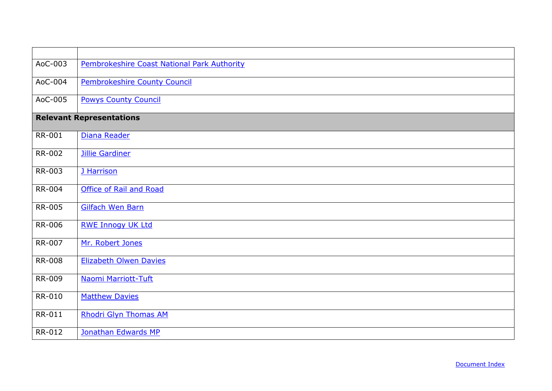<span id="page-14-0"></span>

| AoC-003       | Pembrokeshire Coast National Park Authority |
|---------------|---------------------------------------------|
| AoC-004       | Pembrokeshire County Council                |
| AoC-005       | <b>Powys County Council</b>                 |
|               | <b>Relevant Representations</b>             |
| RR-001        | Diana Reader                                |
| <b>RR-002</b> | <b>Jillie Gardiner</b>                      |
| RR-003        | J Harrison                                  |
| RR-004        | <b>Office of Rail and Road</b>              |
| RR-005        | <b>Gilfach Wen Barn</b>                     |
| <b>RR-006</b> | <b>RWE Innogy UK Ltd</b>                    |
| RR-007        | Mr. Robert Jones                            |
| <b>RR-008</b> | <b>Elizabeth Olwen Davies</b>               |
| RR-009        | Naomi Marriott-Tuft                         |
| RR-010        | <b>Matthew Davies</b>                       |
| RR-011        | <b>Rhodri Glyn Thomas AM</b>                |
| RR-012        | Jonathan Edwards MP                         |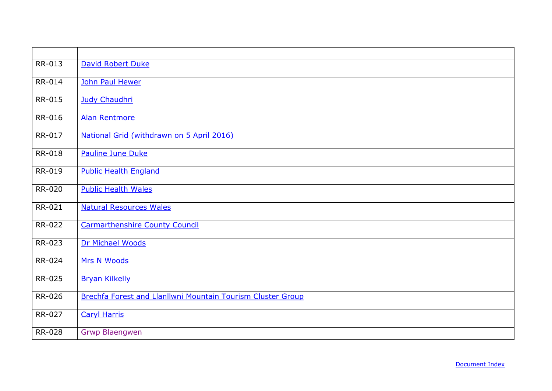| RR-013        | <b>David Robert Duke</b>                                    |
|---------------|-------------------------------------------------------------|
| RR-014        | John Paul Hewer                                             |
| RR-015        | <b>Judy Chaudhri</b>                                        |
| RR-016        | <b>Alan Rentmore</b>                                        |
| RR-017        | National Grid (withdrawn on 5 April 2016)                   |
| <b>RR-018</b> | <b>Pauline June Duke</b>                                    |
| RR-019        | <b>Public Health England</b>                                |
| <b>RR-020</b> | <b>Public Health Wales</b>                                  |
| RR-021        | <b>Natural Resources Wales</b>                              |
| <b>RR-022</b> | <b>Carmarthenshire County Council</b>                       |
| RR-023        | Dr Michael Woods                                            |
| RR-024        | Mrs N Woods                                                 |
| RR-025        | <b>Bryan Kilkelly</b>                                       |
| RR-026        | Brechfa Forest and Llanllwni Mountain Tourism Cluster Group |
| RR-027        | <b>Caryl Harris</b>                                         |
| RR-028        | <b>Grwp Blaengwen</b>                                       |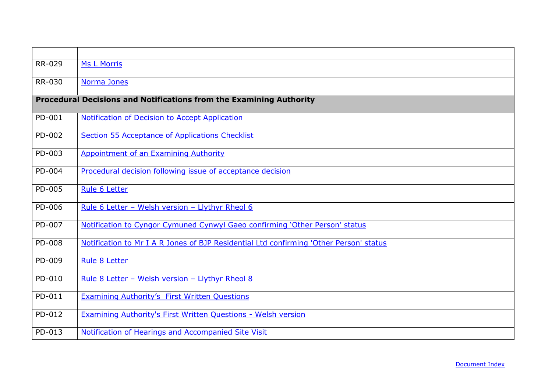<span id="page-16-0"></span>

| RR-029 | <b>Ms L Morris</b>                                                                     |
|--------|----------------------------------------------------------------------------------------|
| RR-030 | Norma Jones                                                                            |
|        | Procedural Decisions and Notifications from the Examining Authority                    |
| PD-001 | Notification of Decision to Accept Application                                         |
| PD-002 | Section 55 Acceptance of Applications Checklist                                        |
| PD-003 | Appointment of an Examining Authority                                                  |
| PD-004 | Procedural decision following issue of acceptance decision                             |
| PD-005 | Rule 6 Letter                                                                          |
| PD-006 | Rule 6 Letter - Welsh version - Llythyr Rheol 6                                        |
| PD-007 | Notification to Cyngor Cymuned Cynwyl Gaeo confirming 'Other Person' status            |
| PD-008 | Notification to Mr I A R Jones of BJP Residential Ltd confirming 'Other Person' status |
| PD-009 | Rule 8 Letter                                                                          |
| PD-010 | Rule 8 Letter - Welsh version - Llythyr Rheol 8                                        |
| PD-011 | <b>Examining Authority's First Written Questions</b>                                   |
| PD-012 | Examining Authority's First Written Questions - Welsh version                          |
| PD-013 | Notification of Hearings and Accompanied Site Visit                                    |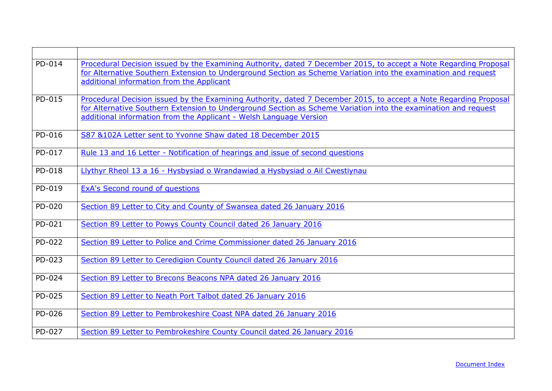| PD-014 | Procedural Decision issued by the Examining Authority, dated 7 December 2015, to accept a Note Regarding Proposal<br>for Alternative Southern Extension to Underground Section as Scheme Variation into the examination and request<br>additional information from the Applicant                          |
|--------|-----------------------------------------------------------------------------------------------------------------------------------------------------------------------------------------------------------------------------------------------------------------------------------------------------------|
| PD-015 | Procedural Decision issued by the Examining Authority, dated 7 December 2015, to accept a Note Regarding Proposal<br>for Alternative Southern Extension to Underground Section as Scheme Variation into the examination and request<br>additional information from the Applicant - Welsh Language Version |
| PD-016 | S87 &102A Letter sent to Yvonne Shaw dated 18 December 2015                                                                                                                                                                                                                                               |
| PD-017 | Rule 13 and 16 Letter - Notification of hearings and issue of second questions                                                                                                                                                                                                                            |
| PD-018 | Llythyr Rheol 13 a 16 - Hysbysiad o Wrandawiad a Hysbysiad o Ail Cwestiynau                                                                                                                                                                                                                               |
| PD-019 | <b>ExA's Second round of questions</b>                                                                                                                                                                                                                                                                    |
| PD-020 | Section 89 Letter to City and County of Swansea dated 26 January 2016                                                                                                                                                                                                                                     |
| PD-021 | Section 89 Letter to Powys County Council dated 26 January 2016                                                                                                                                                                                                                                           |
| PD-022 | Section 89 Letter to Police and Crime Commissioner dated 26 January 2016                                                                                                                                                                                                                                  |
| PD-023 | Section 89 Letter to Ceredigion County Council dated 26 January 2016                                                                                                                                                                                                                                      |
| PD-024 | Section 89 Letter to Brecons Beacons NPA dated 26 January 2016                                                                                                                                                                                                                                            |
| PD-025 | Section 89 Letter to Neath Port Talbot dated 26 January 2016                                                                                                                                                                                                                                              |
| PD-026 | Section 89 Letter to Pembrokeshire Coast NPA dated 26 January 2016                                                                                                                                                                                                                                        |
| PD-027 | Section 89 Letter to Pembrokeshire County Council dated 26 January 2016                                                                                                                                                                                                                                   |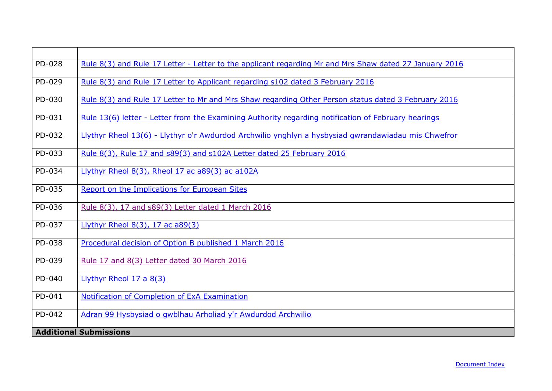<span id="page-18-0"></span>

| PD-028 | Rule 8(3) and Rule 17 Letter - Letter to the applicant regarding Mr and Mrs Shaw dated 27 January 2016 |
|--------|--------------------------------------------------------------------------------------------------------|
| PD-029 | Rule 8(3) and Rule 17 Letter to Applicant regarding s102 dated 3 February 2016                         |
| PD-030 | Rule 8(3) and Rule 17 Letter to Mr and Mrs Shaw regarding Other Person status dated 3 February 2016    |
| PD-031 | Rule 13(6) letter - Letter from the Examining Authority regarding notification of February hearings    |
| PD-032 | Llythyr Rheol 13(6) - Llythyr o'r Awdurdod Archwilio ynghlyn a hysbysiad gwrandawiadau mis Chwefror    |
| PD-033 | Rule 8(3), Rule 17 and s89(3) and s102A Letter dated 25 February 2016                                  |
| PD-034 | Llythyr Rheol 8(3), Rheol 17 ac a89(3) ac a102A                                                        |
| PD-035 | Report on the Implications for European Sites                                                          |
| PD-036 | Rule 8(3), 17 and s89(3) Letter dated 1 March 2016                                                     |
| PD-037 | Llythyr Rheol 8(3), 17 ac a89(3)                                                                       |
| PD-038 | Procedural decision of Option B published 1 March 2016                                                 |
| PD-039 | Rule 17 and 8(3) Letter dated 30 March 2016                                                            |
| PD-040 | Llythyr Rheol $17a8(3)$                                                                                |
| PD-041 | Notification of Completion of ExA Examination                                                          |
| PD-042 | Adran 99 Hysbysiad o gwblhau Arholiad y'r Awdurdod Archwilio                                           |
|        | <b>Additional Submissions</b>                                                                          |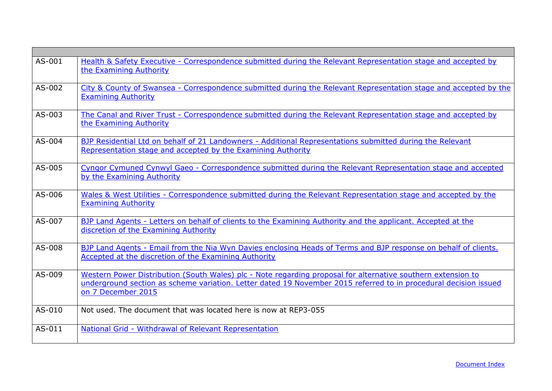| AS-001 | Health & Safety Executive - Correspondence submitted during the Relevant Representation stage and accepted by<br>the Examining Authority                                                                                                               |
|--------|--------------------------------------------------------------------------------------------------------------------------------------------------------------------------------------------------------------------------------------------------------|
| AS-002 | City & County of Swansea - Correspondence submitted during the Relevant Representation stage and accepted by the<br><b>Examining Authority</b>                                                                                                         |
| AS-003 | The Canal and River Trust - Correspondence submitted during the Relevant Representation stage and accepted by<br>the Examining Authority                                                                                                               |
| AS-004 | BJP Residential Ltd on behalf of 21 Landowners - Additional Representations submitted during the Relevant<br>Representation stage and accepted by the Examining Authority                                                                              |
| AS-005 | Cyngor Cymuned Cynwyl Gaeo - Correspondence submitted during the Relevant Representation stage and accepted<br>by the Examining Authority                                                                                                              |
| AS-006 | Wales & West Utilities - Correspondence submitted during the Relevant Representation stage and accepted by the<br><b>Examining Authority</b>                                                                                                           |
| AS-007 | BJP Land Agents - Letters on behalf of clients to the Examining Authority and the applicant. Accepted at the<br>discretion of the Examining Authority                                                                                                  |
| AS-008 | BJP Land Agents - Email from the Nia Wyn Davies enclosing Heads of Terms and BJP response on behalf of clients.<br>Accepted at the discretion of the Examining Authority                                                                               |
| AS-009 | Western Power Distribution (South Wales) plc - Note regarding proposal for alternative southern extension to<br>underground section as scheme variation. Letter dated 19 November 2015 referred to in procedural decision issued<br>on 7 December 2015 |
| AS-010 | Not used. The document that was located here is now at REP3-055                                                                                                                                                                                        |
| AS-011 | National Grid - Withdrawal of Relevant Representation                                                                                                                                                                                                  |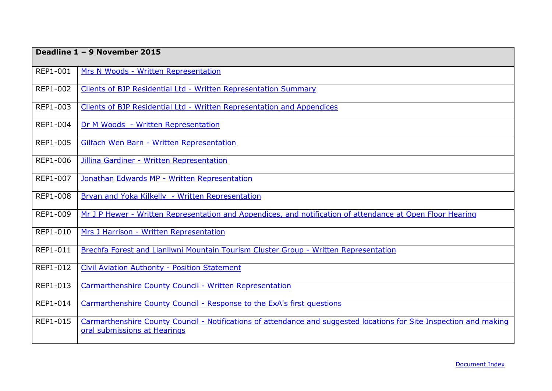<span id="page-20-0"></span>

|                 | Deadline 1 - 9 November 2015                                                                                                                        |  |
|-----------------|-----------------------------------------------------------------------------------------------------------------------------------------------------|--|
| REP1-001        | Mrs N Woods - Written Representation                                                                                                                |  |
| REP1-002        | Clients of BJP Residential Ltd - Written Representation Summary                                                                                     |  |
| REP1-003        | Clients of BJP Residential Ltd - Written Representation and Appendices                                                                              |  |
| REP1-004        | Dr M Woods - Written Representation                                                                                                                 |  |
| REP1-005        | Gilfach Wen Barn - Written Representation                                                                                                           |  |
| REP1-006        | Jillina Gardiner - Written Representation                                                                                                           |  |
| REP1-007        | Jonathan Edwards MP - Written Representation                                                                                                        |  |
| <b>REP1-008</b> | Bryan and Yoka Kilkelly - Written Representation                                                                                                    |  |
| REP1-009        | Mr J P Hewer - Written Representation and Appendices, and notification of attendance at Open Floor Hearing                                          |  |
| REP1-010        | Mrs J Harrison - Written Representation                                                                                                             |  |
| <b>REP1-011</b> | Brechfa Forest and Llanllwni Mountain Tourism Cluster Group - Written Representation                                                                |  |
| REP1-012        | <b>Civil Aviation Authority - Position Statement</b>                                                                                                |  |
| REP1-013        | Carmarthenshire County Council - Written Representation                                                                                             |  |
| REP1-014        | Carmarthenshire County Council - Response to the ExA's first questions                                                                              |  |
| REP1-015        | Carmarthenshire County Council - Notifications of attendance and suggested locations for Site Inspection and making<br>oral submissions at Hearings |  |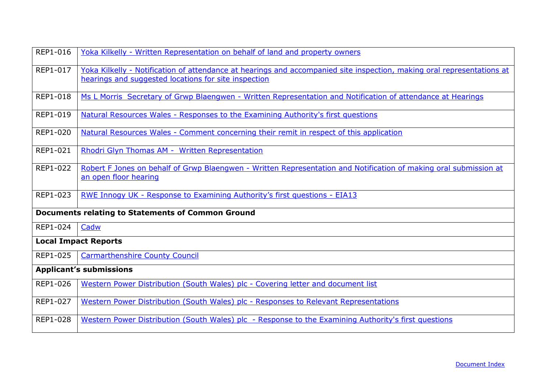<span id="page-21-0"></span>

| <b>REP1-016</b> | Yoka Kilkelly - Written Representation on behalf of land and property owners                                                                                                   |  |
|-----------------|--------------------------------------------------------------------------------------------------------------------------------------------------------------------------------|--|
| REP1-017        | Yoka Kilkelly - Notification of attendance at hearings and accompanied site inspection, making oral representations at<br>hearings and suggested locations for site inspection |  |
| REP1-018        | Ms L Morris Secretary of Grwp Blaengwen - Written Representation and Notification of attendance at Hearings                                                                    |  |
| REP1-019        | Natural Resources Wales - Responses to the Examining Authority's first questions                                                                                               |  |
| REP1-020        | Natural Resources Wales - Comment concerning their remit in respect of this application                                                                                        |  |
| REP1-021        | Rhodri Glyn Thomas AM - Written Representation                                                                                                                                 |  |
| REP1-022        | Robert F Jones on behalf of Grwp Blaengwen - Written Representation and Notification of making oral submission at<br>an open floor hearing                                     |  |
| REP1-023        | <u> RWE Innogy UK - Response to Examining Authority's first questions - EIA13</u>                                                                                              |  |
|                 | <b>Documents relating to Statements of Common Ground</b>                                                                                                                       |  |
| REP1-024        | Cadw                                                                                                                                                                           |  |
|                 | <b>Local Impact Reports</b>                                                                                                                                                    |  |
| REP1-025        | <b>Carmarthenshire County Council</b>                                                                                                                                          |  |
|                 | <b>Applicant's submissions</b>                                                                                                                                                 |  |
| REP1-026        | Western Power Distribution (South Wales) plc - Covering letter and document list                                                                                               |  |
| REP1-027        | Western Power Distribution (South Wales) plc - Responses to Relevant Representations                                                                                           |  |
| REP1-028        | Western Power Distribution (South Wales) plc - Response to the Examining Authority's first questions                                                                           |  |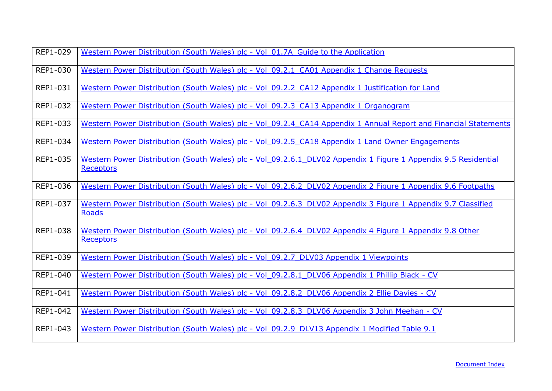| REP1-029 | Western Power Distribution (South Wales) plc - Vol 01.7A Guide to the Application                                                  |
|----------|------------------------------------------------------------------------------------------------------------------------------------|
| REP1-030 | Western Power Distribution (South Wales) plc - Vol 09.2.1 CA01 Appendix 1 Change Requests                                          |
| REP1-031 | Western Power Distribution (South Wales) plc - Vol 09.2.2 CA12 Appendix 1 Justification for Land                                   |
| REP1-032 | Western Power Distribution (South Wales) plc - Vol 09.2.3 CA13 Appendix 1 Organogram                                               |
| REP1-033 | Western Power Distribution (South Wales) plc - Vol 09.2.4 CA14 Appendix 1 Annual Report and Financial Statements                   |
| REP1-034 | Western Power Distribution (South Wales) plc - Vol 09.2.5 CA18 Appendix 1 Land Owner Engagements                                   |
| REP1-035 | Western Power Distribution (South Wales) plc - Vol 09.2.6.1 DLV02 Appendix 1 Figure 1 Appendix 9.5 Residential<br><b>Receptors</b> |
| REP1-036 | Western Power Distribution (South Wales) plc - Vol 09.2.6.2 DLV02 Appendix 2 Figure 1 Appendix 9.6 Footpaths                       |
| REP1-037 | Western Power Distribution (South Wales) plc - Vol 09.2.6.3 DLV02 Appendix 3 Figure 1 Appendix 9.7 Classified<br><b>Roads</b>      |
| REP1-038 | Western Power Distribution (South Wales) plc - Vol 09.2.6.4 DLV02 Appendix 4 Figure 1 Appendix 9.8 Other<br><b>Receptors</b>       |
| REP1-039 | Western Power Distribution (South Wales) plc - Vol 09.2.7 DLV03 Appendix 1 Viewpoints                                              |
| REP1-040 | Western Power Distribution (South Wales) plc - Vol 09.2.8.1 DLV06 Appendix 1 Phillip Black - CV                                    |
| REP1-041 | Western Power Distribution (South Wales) plc - Vol 09.2.8.2 DLV06 Appendix 2 Ellie Davies - CV                                     |
| REP1-042 | Western Power Distribution (South Wales) plc - Vol 09.2.8.3 DLV06 Appendix 3 John Meehan - CV                                      |
| REP1-043 | Western Power Distribution (South Wales) plc - Vol 09.2.9 DLV13 Appendix 1 Modified Table 9.1                                      |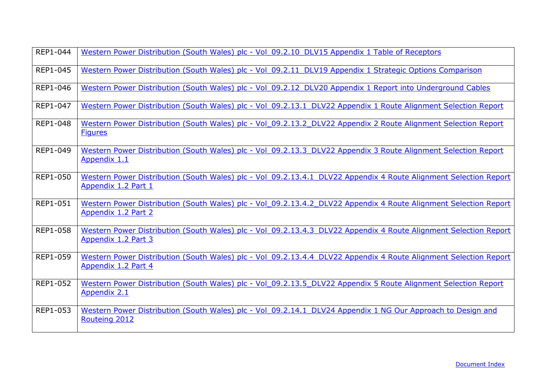| REP1-044 | Western Power Distribution (South Wales) plc - Vol 09.2.10 DLV15 Appendix 1 Table of Receptors                                          |
|----------|-----------------------------------------------------------------------------------------------------------------------------------------|
| REP1-045 | Western Power Distribution (South Wales) plc - Vol 09.2.11 DLV19 Appendix 1 Strategic Options Comparison                                |
| REP1-046 | Western Power Distribution (South Wales) plc - Vol 09.2.12 DLV20 Appendix 1 Report into Underground Cables                              |
| REP1-047 | Western Power Distribution (South Wales) plc - Vol 09.2.13.1 DLV22 Appendix 1 Route Alignment Selection Report                          |
| REP1-048 | Western Power Distribution (South Wales) plc - Vol 09.2.13.2 DLV22 Appendix 2 Route Alignment Selection Report<br><b>Figures</b>        |
| REP1-049 | Western Power Distribution (South Wales) plc - Vol 09.2.13.3 DLV22 Appendix 3 Route Alignment Selection Report<br>Appendix 1.1          |
| REP1-050 | Western Power Distribution (South Wales) plc - Vol 09.2.13.4.1 DLV22 Appendix 4 Route Alignment Selection Report<br>Appendix 1.2 Part 1 |
| REP1-051 | Western Power Distribution (South Wales) plc - Vol 09.2.13.4.2 DLV22 Appendix 4 Route Alignment Selection Report<br>Appendix 1.2 Part 2 |
| REP1-058 | Western Power Distribution (South Wales) plc - Vol 09.2.13.4.3 DLV22 Appendix 4 Route Alignment Selection Report<br>Appendix 1.2 Part 3 |
| REP1-059 | Western Power Distribution (South Wales) plc - Vol 09.2.13.4.4 DLV22 Appendix 4 Route Alignment Selection Report<br>Appendix 1.2 Part 4 |
| REP1-052 | Western Power Distribution (South Wales) plc - Vol 09.2.13.5 DLV22 Appendix 5 Route Alignment Selection Report<br>Appendix 2.1          |
| REP1-053 | Western Power Distribution (South Wales) plc - Vol 09.2.14.1 DLV24 Appendix 1 NG Our Approach to Design and<br>Routeing 2012            |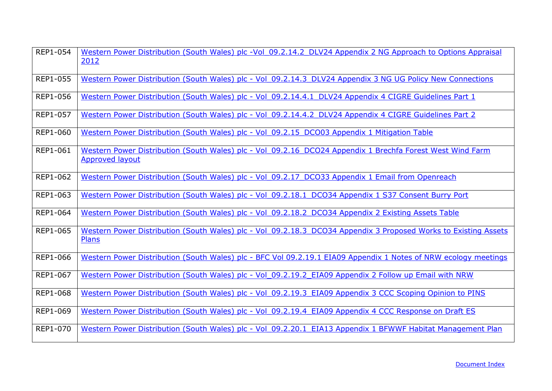| REP1-054        | Western Power Distribution (South Wales) plc -Vol 09.2.14.2 DLV24 Appendix 2 NG Approach to Options Appraisal<br>2012               |
|-----------------|-------------------------------------------------------------------------------------------------------------------------------------|
| <b>REP1-055</b> | Western Power Distribution (South Wales) plc - Vol 09.2.14.3 DLV24 Appendix 3 NG UG Policy New Connections                          |
| REP1-056        | Western Power Distribution (South Wales) plc - Vol 09.2.14.4.1 DLV24 Appendix 4 CIGRE Guidelines Part 1                             |
| REP1-057        | Western Power Distribution (South Wales) plc - Vol 09.2.14.4.2 DLV24 Appendix 4 CIGRE Guidelines Part 2                             |
| <b>REP1-060</b> | Western Power Distribution (South Wales) plc - Vol 09.2.15 DC003 Appendix 1 Mitigation Table                                        |
| REP1-061        | Western Power Distribution (South Wales) plc - Vol 09.2.16 DCO24 Appendix 1 Brechfa Forest West Wind Farm<br><b>Approved layout</b> |
| REP1-062        | Western Power Distribution (South Wales) plc - Vol 09.2.17 DCO33 Appendix 1 Email from Openreach                                    |
| REP1-063        | Western Power Distribution (South Wales) plc - Vol 09.2.18.1 DCO34 Appendix 1 S37 Consent Burry Port                                |
| REP1-064        | Western Power Distribution (South Wales) plc - Vol 09.2.18.2 DCO34 Appendix 2 Existing Assets Table                                 |
| REP1-065        | Western Power Distribution (South Wales) plc - Vol 09.2.18.3 DCO34 Appendix 3 Proposed Works to Existing Assets<br>Plans            |
| REP1-066        | Western Power Distribution (South Wales) plc - BFC Vol 09.2.19.1 EIA09 Appendix 1 Notes of NRW ecology meetings                     |
| REP1-067        | Western Power Distribution (South Wales) plc - Vol 09.2.19.2 EIA09 Appendix 2 Follow up Email with NRW                              |
| <b>REP1-068</b> | Western Power Distribution (South Wales) plc - Vol 09.2.19.3 EIA09 Appendix 3 CCC Scoping Opinion to PINS                           |
| REP1-069        | Western Power Distribution (South Wales) plc - Vol 09.2.19.4 EIA09 Appendix 4 CCC Response on Draft ES                              |
| <b>REP1-070</b> | Western Power Distribution (South Wales) plc - Vol 09.2.20.1 EIA13 Appendix 1 BFWWF Habitat Management Plan                         |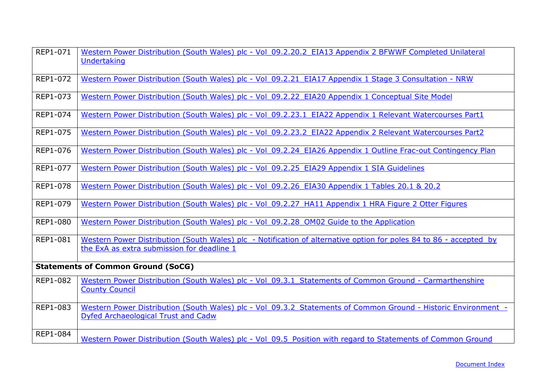<span id="page-25-0"></span>

| REP1-071                                  | Western Power Distribution (South Wales) plc - Vol 09.2.20.2 EIA13 Appendix 2 BFWWF Completed Unilateral<br><b>Undertaking</b>                                   |
|-------------------------------------------|------------------------------------------------------------------------------------------------------------------------------------------------------------------|
|                                           |                                                                                                                                                                  |
| REP1-072                                  | Western Power Distribution (South Wales) plc - Vol 09.2.21 EIA17 Appendix 1 Stage 3 Consultation - NRW                                                           |
| REP1-073                                  | Western Power Distribution (South Wales) plc - Vol 09.2.22 EIA20 Appendix 1 Conceptual Site Model                                                                |
| REP1-074                                  | Western Power Distribution (South Wales) plc - Vol 09.2.23.1 EIA22 Appendix 1 Relevant Watercourses Part1                                                        |
| REP1-075                                  | Western Power Distribution (South Wales) plc - Vol 09.2.23.2 EIA22 Appendix 2 Relevant Watercourses Part2                                                        |
| REP1-076                                  | Western Power Distribution (South Wales) plc - Vol 09.2.24 EIA26 Appendix 1 Outline Frac-out Contingency Plan                                                    |
| REP1-077                                  | Western Power Distribution (South Wales) plc - Vol 09.2.25 EIA29 Appendix 1 SIA Guidelines                                                                       |
| REP1-078                                  | Western Power Distribution (South Wales) plc - Vol 09.2.26 EIA30 Appendix 1 Tables 20.1 & 20.2                                                                   |
| REP1-079                                  | Western Power Distribution (South Wales) plc - Vol 09.2.27 HA11 Appendix 1 HRA Figure 2 Otter Figures                                                            |
| REP1-080                                  | Western Power Distribution (South Wales) plc - Vol 09.2.28 OM02 Guide to the Application                                                                         |
| REP1-081                                  | Western Power Distribution (South Wales) plc - Notification of alternative option for poles 84 to 86 - accepted by<br>the ExA as extra submission for deadline 1 |
| <b>Statements of Common Ground (SoCG)</b> |                                                                                                                                                                  |
| REP1-082                                  | Western Power Distribution (South Wales) plc - Vol 09.3.1 Statements of Common Ground - Carmarthenshire                                                          |
|                                           | <b>County Council</b>                                                                                                                                            |
| REP1-083                                  | Western Power Distribution (South Wales) plc - Vol 09.3.2 Statements of Common Ground - Historic Environment -                                                   |
|                                           | Dyfed Archaeological Trust and Cadw                                                                                                                              |
| REP1-084                                  | Western Power Distribution (South Wales) plc - Vol 09.5 Position with regard to Statements of Common Ground                                                      |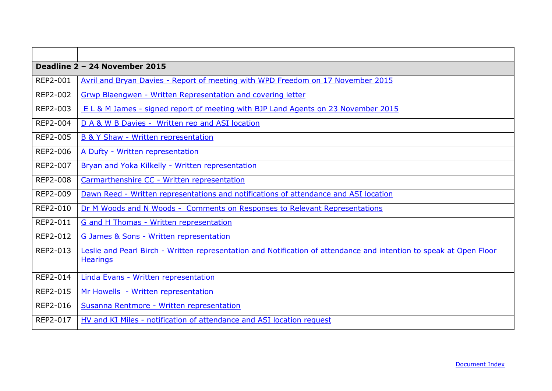<span id="page-26-0"></span>

|                 | Deadline 2 - 24 November 2015                                                                                                          |
|-----------------|----------------------------------------------------------------------------------------------------------------------------------------|
| REP2-001        | Avril and Bryan Davies - Report of meeting with WPD Freedom on 17 November 2015                                                        |
| REP2-002        | Grwp Blaengwen - Written Representation and covering letter                                                                            |
| REP2-003        | E L & M James - signed report of meeting with BJP Land Agents on 23 November 2015                                                      |
| REP2-004        | D A & W B Davies - Written rep and ASI location                                                                                        |
| <b>REP2-005</b> | B & Y Shaw - Written representation                                                                                                    |
| <b>REP2-006</b> | A Dufty - Written representation                                                                                                       |
| REP2-007        | Bryan and Yoka Kilkelly - Written representation                                                                                       |
| <b>REP2-008</b> | Carmarthenshire CC - Written representation                                                                                            |
| REP2-009        | Dawn Reed - Written representations and notifications of attendance and ASI location                                                   |
| REP2-010        | Dr M Woods and N Woods - Comments on Responses to Relevant Representations                                                             |
| REP2-011        | G and H Thomas - Written representation                                                                                                |
| REP2-012        | G James & Sons - Written representation                                                                                                |
| REP2-013        | Leslie and Pearl Birch - Written representation and Notification of attendance and intention to speak at Open Floor<br><b>Hearings</b> |
| REP2-014        | Linda Evans - Written representation                                                                                                   |
| <b>REP2-015</b> | Mr Howells - Written representation                                                                                                    |
| REP2-016        | Susanna Rentmore - Written representation                                                                                              |
| REP2-017        | HV and KI Miles - notification of attendance and ASI location request                                                                  |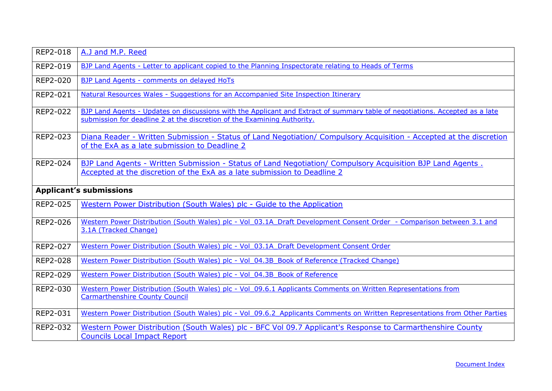| REP2-018                       | A.J and M.P. Reed                                                                                                                                                                                       |
|--------------------------------|---------------------------------------------------------------------------------------------------------------------------------------------------------------------------------------------------------|
| REP2-019                       | BJP Land Agents - Letter to applicant copied to the Planning Inspectorate relating to Heads of Terms                                                                                                    |
| REP2-020                       | BJP Land Agents - comments on delayed HoTs                                                                                                                                                              |
| <b>REP2-021</b>                | Natural Resources Wales - Suggestions for an Accompanied Site Inspection Itinerary                                                                                                                      |
| REP2-022                       | BJP Land Agents - Updates on discussions with the Applicant and Extract of summary table of negotiations. Accepted as a late<br>submission for deadline 2 at the discretion of the Examining Authority. |
| REP2-023                       | Diana Reader - Written Submission - Status of Land Negotiation/ Compulsory Acquisition - Accepted at the discretion<br>of the ExA as a late submission to Deadline 2                                    |
| REP2-024                       | BJP Land Agents - Written Submission - Status of Land Negotiation/ Compulsory Acquisition BJP Land Agents.<br>Accepted at the discretion of the ExA as a late submission to Deadline 2                  |
| <b>Applicant's submissions</b> |                                                                                                                                                                                                         |
| <b>REP2-025</b>                | Western Power Distribution (South Wales) plc - Guide to the Application                                                                                                                                 |
| <b>REP2-026</b>                | Western Power Distribution (South Wales) plc - Vol 03.1A Draft Development Consent Order - Comparison between 3.1 and<br>3.1A (Tracked Change)                                                          |
| REP2-027                       | Western Power Distribution (South Wales) plc - Vol 03.1A Draft Development Consent Order                                                                                                                |
| REP2-028                       | Western Power Distribution (South Wales) plc - Vol 04.3B Book of Reference (Tracked Change)                                                                                                             |
| REP2-029                       | Western Power Distribution (South Wales) plc - Vol 04.3B Book of Reference                                                                                                                              |
| REP2-030                       | Western Power Distribution (South Wales) plc - Vol 09.6.1 Applicants Comments on Written Representations from<br><b>Carmarthenshire County Council</b>                                                  |
| REP2-031                       | Western Power Distribution (South Wales) plc - Vol 09.6.2 Applicants Comments on Written Representations from Other Parties                                                                             |
| REP2-032                       | Western Power Distribution (South Wales) plc - BFC Vol 09.7 Applicant's Response to Carmarthenshire County<br><b>Councils Local Impact Report</b>                                                       |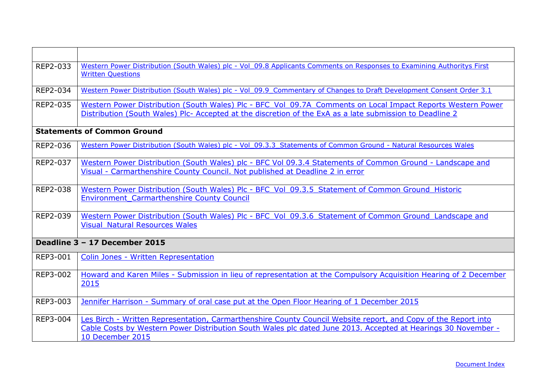<span id="page-28-1"></span><span id="page-28-0"></span>

| REP2-033 | Western Power Distribution (South Wales) plc - Vol 09.8 Applicants Comments on Responses to Examining Authoritys First<br><b>Written Questions</b>                                                                                                  |
|----------|-----------------------------------------------------------------------------------------------------------------------------------------------------------------------------------------------------------------------------------------------------|
| REP2-034 | Western Power Distribution (South Wales) plc - Vol 09.9 Commentary of Changes to Draft Development Consent Order 3.1                                                                                                                                |
| REP2-035 | Western Power Distribution (South Wales) Plc - BFC Vol 09.7A Comments on Local Impact Reports Western Power<br>Distribution (South Wales) Plc- Accepted at the discretion of the ExA as a late submission to Deadline 2                             |
|          | <b>Statements of Common Ground</b>                                                                                                                                                                                                                  |
| REP2-036 | Western Power Distribution (South Wales) plc - Vol 09.3.3 Statements of Common Ground - Natural Resources Wales                                                                                                                                     |
| REP2-037 | Western Power Distribution (South Wales) plc - BFC Vol 09.3.4 Statements of Common Ground - Landscape and<br>Visual - Carmarthenshire County Council. Not published at Deadline 2 in error                                                          |
| REP2-038 | Western Power Distribution (South Wales) Plc - BFC Vol 09.3.5 Statement of Common Ground Historic<br><b>Environment Carmarthenshire County Council</b>                                                                                              |
| REP2-039 | Western Power Distribution (South Wales) Plc - BFC Vol 09.3.6 Statement of Common Ground Landscape and<br><b>Visual Natural Resources Wales</b>                                                                                                     |
|          | Deadline 3 - 17 December 2015                                                                                                                                                                                                                       |
| REP3-001 | Colin Jones - Written Representation                                                                                                                                                                                                                |
| REP3-002 | Howard and Karen Miles - Submission in lieu of representation at the Compulsory Acquisition Hearing of 2 December<br>2015                                                                                                                           |
| REP3-003 | Jennifer Harrison - Summary of oral case put at the Open Floor Hearing of 1 December 2015                                                                                                                                                           |
| REP3-004 | Les Birch - Written Representation, Carmarthenshire County Council Website report, and Copy of the Report into<br>Cable Costs by Western Power Distribution South Wales plc dated June 2013. Accepted at Hearings 30 November -<br>10 December 2015 |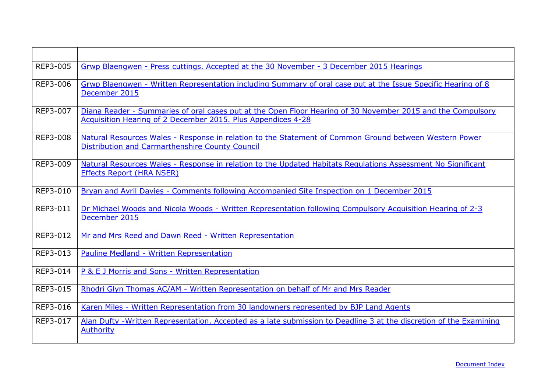| REP3-005 | Grwp Blaengwen - Press cuttings. Accepted at the 30 November - 3 December 2015 Hearings                                                                                     |
|----------|-----------------------------------------------------------------------------------------------------------------------------------------------------------------------------|
| REP3-006 | Grwp Blaengwen - Written Representation including Summary of oral case put at the Issue Specific Hearing of 8<br>December 2015                                              |
| REP3-007 | Diana Reader - Summaries of oral cases put at the Open Floor Hearing of 30 November 2015 and the Compulsory<br>Acquisition Hearing of 2 December 2015. Plus Appendices 4-28 |
| REP3-008 | Natural Resources Wales - Response in relation to the Statement of Common Ground between Western Power<br>Distribution and Carmarthenshire County Council                   |
| REP3-009 | Natural Resources Wales - Response in relation to the Updated Habitats Regulations Assessment No Significant<br>Effects Report (HRA NSER)                                   |
| REP3-010 | Bryan and Avril Davies - Comments following Accompanied Site Inspection on 1 December 2015                                                                                  |
| REP3-011 | Dr Michael Woods and Nicola Woods - Written Representation following Compulsory Acquisition Hearing of 2-3<br>December 2015                                                 |
| REP3-012 | Mr and Mrs Reed and Dawn Reed - Written Representation                                                                                                                      |
| REP3-013 | Pauline Medland - Written Representation                                                                                                                                    |
| REP3-014 | P & E J Morris and Sons - Written Representation                                                                                                                            |
| REP3-015 | Rhodri Glyn Thomas AC/AM - Written Representation on behalf of Mr and Mrs Reader                                                                                            |
| REP3-016 | Karen Miles - Written Representation from 30 landowners represented by BJP Land Agents                                                                                      |
| REP3-017 | Alan Dufty - Written Representation. Accepted as a late submission to Deadline 3 at the discretion of the Examining<br><b>Authority</b>                                     |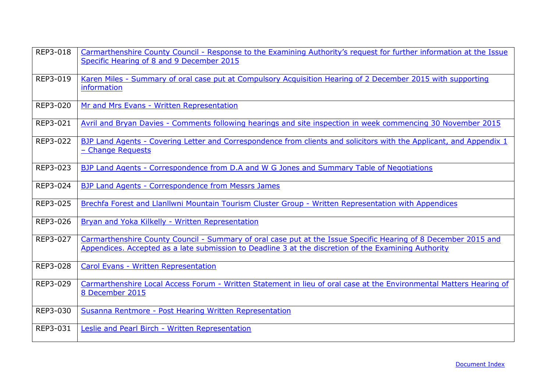| REP3-018 | Carmarthenshire County Council - Response to the Examining Authority's request for further information at the Issue<br>Specific Hearing of 8 and 9 December 2015                                                       |
|----------|------------------------------------------------------------------------------------------------------------------------------------------------------------------------------------------------------------------------|
| REP3-019 | Karen Miles - Summary of oral case put at Compulsory Acquisition Hearing of 2 December 2015 with supporting<br>information                                                                                             |
| REP3-020 | Mr and Mrs Evans - Written Representation                                                                                                                                                                              |
| REP3-021 | Avril and Bryan Davies - Comments following hearings and site inspection in week commencing 30 November 2015                                                                                                           |
| REP3-022 | BJP Land Agents - Covering Letter and Correspondence from clients and solicitors with the Applicant, and Appendix 1<br>- Change Requests                                                                               |
| REP3-023 | BJP Land Agents - Correspondence from D.A and W G Jones and Summary Table of Negotiations                                                                                                                              |
| REP3-024 | BJP Land Agents - Correspondence from Messrs James                                                                                                                                                                     |
| REP3-025 | Brechfa Forest and Llanllwni Mountain Tourism Cluster Group - Written Representation with Appendices                                                                                                                   |
| REP3-026 | Bryan and Yoka Kilkelly - Written Representation                                                                                                                                                                       |
| REP3-027 | Carmarthenshire County Council - Summary of oral case put at the Issue Specific Hearing of 8 December 2015 and<br>Appendices. Accepted as a late submission to Deadline 3 at the discretion of the Examining Authority |
| REP3-028 | Carol Evans - Written Representation                                                                                                                                                                                   |
| REP3-029 | Carmarthenshire Local Access Forum - Written Statement in lieu of oral case at the Environmental Matters Hearing of<br>8 December 2015                                                                                 |
| REP3-030 | Susanna Rentmore - Post Hearing Written Representation                                                                                                                                                                 |
| REP3-031 | Leslie and Pearl Birch - Written Representation                                                                                                                                                                        |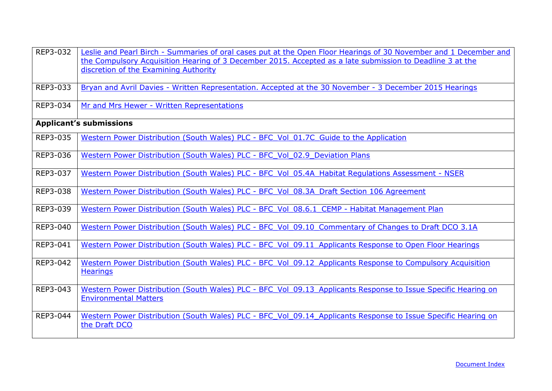| REP3-032 | Leslie and Pearl Birch - Summaries of oral cases put at the Open Floor Hearings of 30 November and 1 December and<br>the Compulsory Acquisition Hearing of 3 December 2015. Accepted as a late submission to Deadline 3 at the<br>discretion of the Examining Authority |
|----------|-------------------------------------------------------------------------------------------------------------------------------------------------------------------------------------------------------------------------------------------------------------------------|
| REP3-033 | Bryan and Avril Davies - Written Representation. Accepted at the 30 November - 3 December 2015 Hearings                                                                                                                                                                 |
| REP3-034 | Mr and Mrs Hewer - Written Representations                                                                                                                                                                                                                              |
|          | <b>Applicant's submissions</b>                                                                                                                                                                                                                                          |
| REP3-035 | Western Power Distribution (South Wales) PLC - BFC Vol 01.7C Guide to the Application                                                                                                                                                                                   |
| REP3-036 | Western Power Distribution (South Wales) PLC - BFC Vol 02.9 Deviation Plans                                                                                                                                                                                             |
| REP3-037 | Western Power Distribution (South Wales) PLC - BFC Vol 05.4A Habitat Regulations Assessment - NSER                                                                                                                                                                      |
| REP3-038 | Western Power Distribution (South Wales) PLC - BFC Vol 08.3A Draft Section 106 Agreement                                                                                                                                                                                |
| REP3-039 | Western Power Distribution (South Wales) PLC - BFC Vol 08.6.1 CEMP - Habitat Management Plan                                                                                                                                                                            |
| REP3-040 | Western Power Distribution (South Wales) PLC - BFC Vol 09.10 Commentary of Changes to Draft DCO 3.1A                                                                                                                                                                    |
| REP3-041 | Western Power Distribution (South Wales) PLC - BFC Vol 09.11 Applicants Response to Open Floor Hearings                                                                                                                                                                 |
| REP3-042 | Western Power Distribution (South Wales) PLC - BFC_Vol_09.12 Applicants Response to Compulsory Acquisition<br><b>Hearings</b>                                                                                                                                           |
| REP3-043 | Western Power Distribution (South Wales) PLC - BFC Vol 09.13 Applicants Response to Issue Specific Hearing on<br><b>Environmental Matters</b>                                                                                                                           |
| REP3-044 | Western Power Distribution (South Wales) PLC - BFC Vol 09.14 Applicants Response to Issue Specific Hearing on<br>the Draft DCO                                                                                                                                          |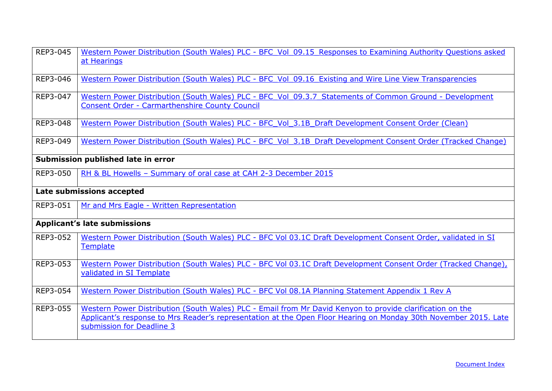| REP3-045 | Western Power Distribution (South Wales) PLC - BFC Vol 09.15 Responses to Examining Authority Questions asked<br>at Hearings                                                                                                                               |
|----------|------------------------------------------------------------------------------------------------------------------------------------------------------------------------------------------------------------------------------------------------------------|
| REP3-046 | Western Power Distribution (South Wales) PLC - BFC Vol 09.16 Existing and Wire Line View Transparencies                                                                                                                                                    |
| REP3-047 | Western Power Distribution (South Wales) PLC - BFC Vol 09.3.7 Statements of Common Ground - Development<br><b>Consent Order - Carmarthenshire County Council</b>                                                                                           |
| REP3-048 | Western Power Distribution (South Wales) PLC - BFC Vol 3.1B Draft Development Consent Order (Clean)                                                                                                                                                        |
| REP3-049 | Western Power Distribution (South Wales) PLC - BFC Vol 3.1B Draft Development Consent Order (Tracked Change)                                                                                                                                               |
|          | Submission published late in error                                                                                                                                                                                                                         |
| REP3-050 | RH & BL Howells - Summary of oral case at CAH 2-3 December 2015                                                                                                                                                                                            |
|          | Late submissions accepted                                                                                                                                                                                                                                  |
| REP3-051 | Mr and Mrs Eagle - Written Representation                                                                                                                                                                                                                  |
|          | <b>Applicant's late submissions</b>                                                                                                                                                                                                                        |
| REP3-052 | Western Power Distribution (South Wales) PLC - BFC Vol 03.1C Draft Development Consent Order, validated in SI<br>Template                                                                                                                                  |
| REP3-053 | Western Power Distribution (South Wales) PLC - BFC Vol 03.1C Draft Development Consent Order (Tracked Change),<br>validated in SI Template                                                                                                                 |
| REP3-054 | Western Power Distribution (South Wales) PLC - BFC Vol 08.1A Planning Statement Appendix 1 Rev A                                                                                                                                                           |
| REP3-055 | Western Power Distribution (South Wales) PLC - Email from Mr David Kenyon to provide clarification on the<br>Applicant's response to Mrs Reader's representation at the Open Floor Hearing on Monday 30th November 2015. Late<br>submission for Deadline 3 |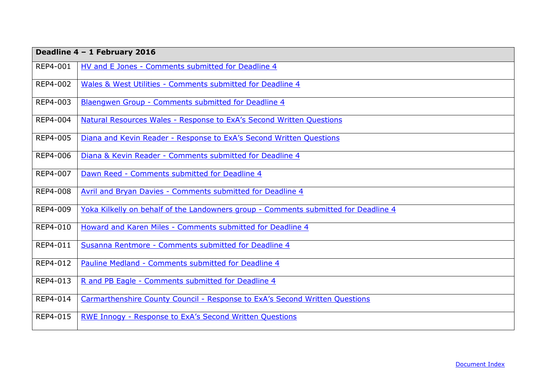<span id="page-33-0"></span>

|                 | Deadline 4 - 1 February 2016                                                        |
|-----------------|-------------------------------------------------------------------------------------|
| REP4-001        | HV and E Jones - Comments submitted for Deadline 4                                  |
| REP4-002        | Wales & West Utilities - Comments submitted for Deadline 4                          |
| REP4-003        | Blaengwen Group - Comments submitted for Deadline 4                                 |
| REP4-004        | Natural Resources Wales - Response to ExA's Second Written Questions                |
| REP4-005        | Diana and Kevin Reader - Response to ExA's Second Written Questions                 |
| REP4-006        | Diana & Kevin Reader - Comments submitted for Deadline 4                            |
| <b>REP4-007</b> | Dawn Reed - Comments submitted for Deadline 4                                       |
| <b>REP4-008</b> | Avril and Bryan Davies - Comments submitted for Deadline 4                          |
| REP4-009        | Yoka Kilkelly on behalf of the Landowners group - Comments submitted for Deadline 4 |
| REP4-010        | Howard and Karen Miles - Comments submitted for Deadline 4                          |
| REP4-011        | Susanna Rentmore - Comments submitted for Deadline 4                                |
| REP4-012        | Pauline Medland - Comments submitted for Deadline 4                                 |
| REP4-013        | R and PB Eagle - Comments submitted for Deadline 4                                  |
| REP4-014        | Carmarthenshire County Council - Response to ExA's Second Written Questions         |
| <b>REP4-015</b> | RWE Innogy - Response to ExA's Second Written Questions                             |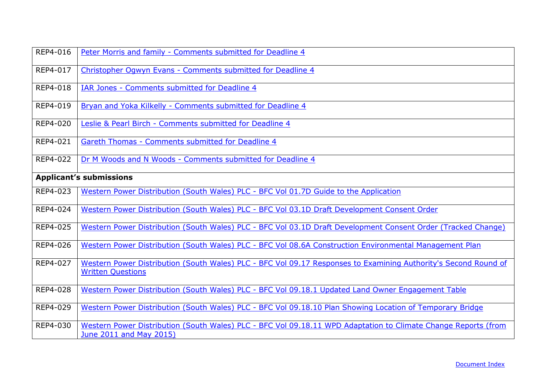| REP4-016                       | Peter Morris and family - Comments submitted for Deadline 4                                                                                 |
|--------------------------------|---------------------------------------------------------------------------------------------------------------------------------------------|
| REP4-017                       | Christopher Ogwyn Evans - Comments submitted for Deadline 4                                                                                 |
| REP4-018                       | IAR Jones - Comments submitted for Deadline 4                                                                                               |
| REP4-019                       | Bryan and Yoka Kilkelly - Comments submitted for Deadline 4                                                                                 |
| REP4-020                       | Leslie & Pearl Birch - Comments submitted for Deadline 4                                                                                    |
| REP4-021                       | Gareth Thomas - Comments submitted for Deadline 4                                                                                           |
| REP4-022                       | Dr M Woods and N Woods - Comments submitted for Deadline 4                                                                                  |
| <b>Applicant's submissions</b> |                                                                                                                                             |
| REP4-023                       | Western Power Distribution (South Wales) PLC - BFC Vol 01.7D Guide to the Application                                                       |
| REP4-024                       | Western Power Distribution (South Wales) PLC - BFC Vol 03.1D Draft Development Consent Order                                                |
| REP4-025                       | Western Power Distribution (South Wales) PLC - BFC Vol 03.1D Draft Development Consent Order (Tracked Change)                               |
| REP4-026                       | Western Power Distribution (South Wales) PLC - BFC Vol 08.6A Construction Environmental Management Plan                                     |
| REP4-027                       | Western Power Distribution (South Wales) PLC - BFC Vol 09.17 Responses to Examining Authority's Second Round of<br><b>Written Questions</b> |
| REP4-028                       | Western Power Distribution (South Wales) PLC - BFC Vol 09.18.1 Updated Land Owner Engagement Table                                          |
| REP4-029                       | Western Power Distribution (South Wales) PLC - BFC Vol 09.18.10 Plan Showing Location of Temporary Bridge                                   |
| REP4-030                       | Western Power Distribution (South Wales) PLC - BFC Vol 09.18.11 WPD Adaptation to Climate Change Reports (from<br>June 2011 and May 2015)   |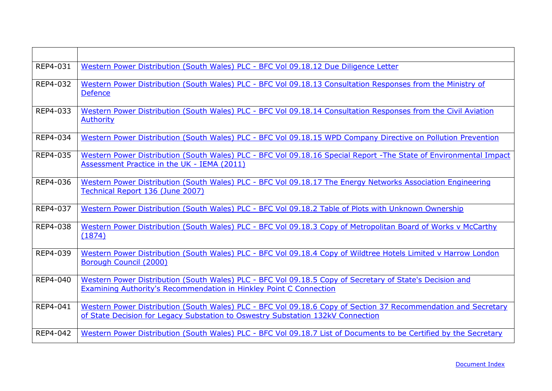| REP4-031 | Western Power Distribution (South Wales) PLC - BFC Vol 09.18.12 Due Diligence Letter                                                                                                              |
|----------|---------------------------------------------------------------------------------------------------------------------------------------------------------------------------------------------------|
| REP4-032 | Western Power Distribution (South Wales) PLC - BFC Vol 09.18.13 Consultation Responses from the Ministry of<br><b>Defence</b>                                                                     |
| REP4-033 | Western Power Distribution (South Wales) PLC - BFC Vol 09.18.14 Consultation Responses from the Civil Aviation<br><b>Authority</b>                                                                |
| REP4-034 | Western Power Distribution (South Wales) PLC - BFC Vol 09.18.15 WPD Company Directive on Pollution Prevention                                                                                     |
| REP4-035 | Western Power Distribution (South Wales) PLC - BFC Vol 09.18.16 Special Report - The State of Environmental Impact<br>Assessment Practice in the UK - IEMA (2011)                                 |
| REP4-036 | Western Power Distribution (South Wales) PLC - BFC Vol 09.18.17 The Energy Networks Association Engineering<br>Technical Report 136 (June 2007)                                                   |
| REP4-037 | Western Power Distribution (South Wales) PLC - BFC Vol 09.18.2 Table of Plots with Unknown Ownership                                                                                              |
| REP4-038 | Western Power Distribution (South Wales) PLC - BFC Vol 09.18.3 Copy of Metropolitan Board of Works v McCarthy<br>(1874)                                                                           |
| REP4-039 | Western Power Distribution (South Wales) PLC - BFC Vol 09.18.4 Copy of Wildtree Hotels Limited v Harrow London<br>Borough Council (2000)                                                          |
| REP4-040 | Western Power Distribution (South Wales) PLC - BFC Vol 09.18.5 Copy of Secretary of State's Decision and<br><b>Examining Authority's Recommendation in Hinkley Point C Connection</b>             |
| REP4-041 | Western Power Distribution (South Wales) PLC - BFC Vol 09.18.6 Copy of Section 37 Recommendation and Secretary<br>of State Decision for Legacy Substation to Oswestry Substation 132kV Connection |
| REP4-042 | Western Power Distribution (South Wales) PLC - BFC Vol 09.18.7 List of Documents to be Certified by the Secretary                                                                                 |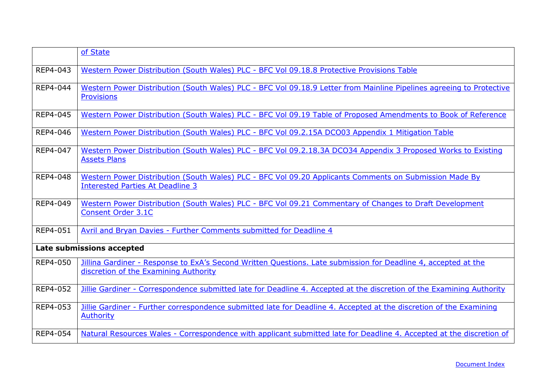|          | of State                                                                                                                                                |
|----------|---------------------------------------------------------------------------------------------------------------------------------------------------------|
| REP4-043 | Western Power Distribution (South Wales) PLC - BFC Vol 09.18.8 Protective Provisions Table                                                              |
| REP4-044 | Western Power Distribution (South Wales) PLC - BFC Vol 09.18.9 Letter from Mainline Pipelines agreeing to Protective<br><b>Provisions</b>               |
| REP4-045 | Western Power Distribution (South Wales) PLC - BFC Vol 09.19 Table of Proposed Amendments to Book of Reference                                          |
| REP4-046 | Western Power Distribution (South Wales) PLC - BFC Vol 09.2.15A DCO03 Appendix 1 Mitigation Table                                                       |
| REP4-047 | Western Power Distribution (South Wales) PLC - BFC Vol 09.2.18.3A DCO34 Appendix 3 Proposed Works to Existing<br><b>Assets Plans</b>                    |
| REP4-048 | Western Power Distribution (South Wales) PLC - BFC Vol 09.20 Applicants Comments on Submission Made By<br><b>Interested Parties At Deadline 3</b>       |
| REP4-049 | Western Power Distribution (South Wales) PLC - BFC Vol 09.21 Commentary of Changes to Draft Development<br><b>Consent Order 3.1C</b>                    |
| REP4-051 | Avril and Bryan Davies - Further Comments submitted for Deadline 4                                                                                      |
|          | Late submissions accepted                                                                                                                               |
| REP4-050 | Jillina Gardiner - Response to ExA's Second Written Questions. Late submission for Deadline 4, accepted at the<br>discretion of the Examining Authority |
| REP4-052 | Jillie Gardiner - Correspondence submitted late for Deadline 4. Accepted at the discretion of the Examining Authority                                   |
| REP4-053 | Jillie Gardiner - Further correspondence submitted late for Deadline 4. Accepted at the discretion of the Examining<br><b>Authority</b>                 |
| REP4-054 | Natural Resources Wales - Correspondence with applicant submitted late for Deadline 4. Accepted at the discretion of                                    |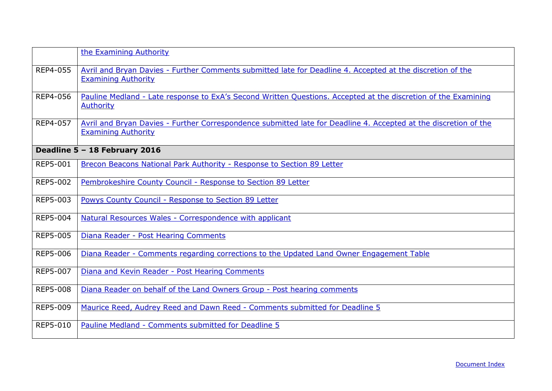<span id="page-37-0"></span>

|                 | the Examining Authority                                                                                                                        |
|-----------------|------------------------------------------------------------------------------------------------------------------------------------------------|
| REP4-055        | Avril and Bryan Davies - Further Comments submitted late for Deadline 4. Accepted at the discretion of the<br><b>Examining Authority</b>       |
| REP4-056        | Pauline Medland - Late response to ExA's Second Written Questions. Accepted at the discretion of the Examining<br><b>Authority</b>             |
| REP4-057        | Avril and Bryan Davies - Further Correspondence submitted late for Deadline 4. Accepted at the discretion of the<br><b>Examining Authority</b> |
|                 | Deadline 5 - 18 February 2016                                                                                                                  |
| <b>REP5-001</b> | Brecon Beacons National Park Authority - Response to Section 89 Letter                                                                         |
| REP5-002        | Pembrokeshire County Council - Response to Section 89 Letter                                                                                   |
| REP5-003        | <b>Powys County Council - Response to Section 89 Letter</b>                                                                                    |
| <b>REP5-004</b> | Natural Resources Wales - Correspondence with applicant                                                                                        |
| <b>REP5-005</b> | Diana Reader - Post Hearing Comments                                                                                                           |
| <b>REP5-006</b> | Diana Reader - Comments regarding corrections to the Updated Land Owner Engagement Table                                                       |
| REP5-007        | Diana and Kevin Reader - Post Hearing Comments                                                                                                 |
| <b>REP5-008</b> | Diana Reader on behalf of the Land Owners Group - Post hearing comments                                                                        |
| REP5-009        | Maurice Reed, Audrey Reed and Dawn Reed - Comments submitted for Deadline 5                                                                    |
| REP5-010        | Pauline Medland - Comments submitted for Deadline 5                                                                                            |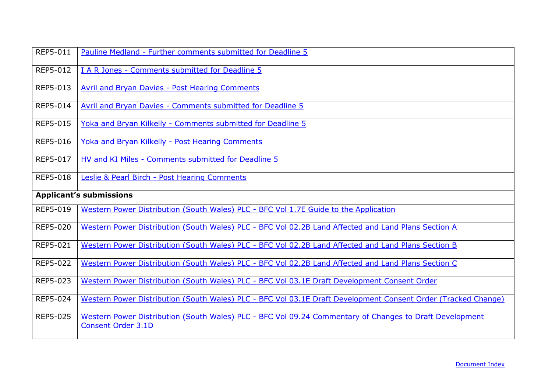| <b>REP5-011</b>                | Pauline Medland - Further comments submitted for Deadline 5                                                                   |
|--------------------------------|-------------------------------------------------------------------------------------------------------------------------------|
| REP5-012                       | I A R Jones - Comments submitted for Deadline 5                                                                               |
| REP5-013                       | <b>Avril and Bryan Davies - Post Hearing Comments</b>                                                                         |
| REP5-014                       | Avril and Bryan Davies - Comments submitted for Deadline 5                                                                    |
| <b>REP5-015</b>                | Yoka and Bryan Kilkelly - Comments submitted for Deadline 5                                                                   |
| <b>REP5-016</b>                | Yoka and Bryan Kilkelly - Post Hearing Comments                                                                               |
| REP5-017                       | HV and KI Miles - Comments submitted for Deadline 5                                                                           |
| <b>REP5-018</b>                | Leslie & Pearl Birch - Post Hearing Comments                                                                                  |
| <b>Applicant's submissions</b> |                                                                                                                               |
| REP5-019                       | Western Power Distribution (South Wales) PLC - BFC Vol 1.7E Guide to the Application                                          |
| <b>REP5-020</b>                | Western Power Distribution (South Wales) PLC - BFC Vol 02.2B Land Affected and Land Plans Section A                           |
| REP5-021                       | Western Power Distribution (South Wales) PLC - BFC Vol 02.2B Land Affected and Land Plans Section B                           |
| REP5-022                       | Western Power Distribution (South Wales) PLC - BFC Vol 02.2B Land Affected and Land Plans Section C                           |
| REP5-023                       | Western Power Distribution (South Wales) PLC - BFC Vol 03.1E Draft Development Consent Order                                  |
| REP5-024                       | Western Power Distribution (South Wales) PLC - BFC Vol 03.1E Draft Development Consent Order (Tracked Change)                 |
| <b>REP5-025</b>                | Western Power Distribution (South Wales) PLC - BFC Vol 09.24 Commentary of Changes to Draft Development<br>Consent Order 3.1D |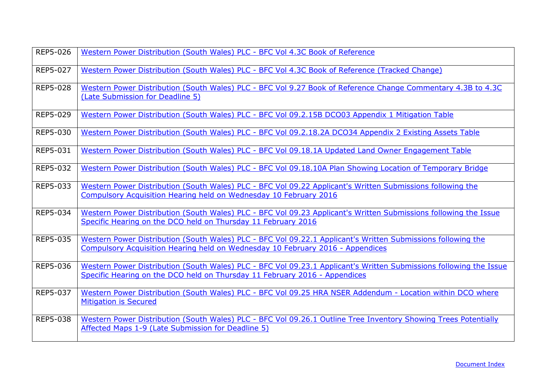| REP5-026        | Western Power Distribution (South Wales) PLC - BFC Vol 4.3C Book of Reference                                                                                                                    |
|-----------------|--------------------------------------------------------------------------------------------------------------------------------------------------------------------------------------------------|
| <b>REP5-027</b> | Western Power Distribution (South Wales) PLC - BFC Vol 4.3C Book of Reference (Tracked Change)                                                                                                   |
| <b>REP5-028</b> | Western Power Distribution (South Wales) PLC - BFC Vol 9.27 Book of Reference Change Commentary 4.3B to 4.3C<br>(Late Submission for Deadline 5)                                                 |
| REP5-029        | Western Power Distribution (South Wales) PLC - BFC Vol 09.2.15B DCO03 Appendix 1 Mitigation Table                                                                                                |
| REP5-030        | Western Power Distribution (South Wales) PLC - BFC Vol 09.2.18.2A DCO34 Appendix 2 Existing Assets Table                                                                                         |
| REP5-031        | Western Power Distribution (South Wales) PLC - BFC Vol 09.18.1A Updated Land Owner Engagement Table                                                                                              |
| REP5-032        | Western Power Distribution (South Wales) PLC - BFC Vol 09.18.10A Plan Showing Location of Temporary Bridge                                                                                       |
| REP5-033        | Western Power Distribution (South Wales) PLC - BFC Vol 09.22 Applicant's Written Submissions following the<br>Compulsory Acquisition Hearing held on Wednesday 10 February 2016                  |
| REP5-034        | Western Power Distribution (South Wales) PLC - BFC Vol 09.23 Applicant's Written Submissions following the Issue<br>Specific Hearing on the DCO held on Thursday 11 February 2016                |
| REP5-035        | Western Power Distribution (South Wales) PLC - BFC Vol 09.22.1 Applicant's Written Submissions following the<br>Compulsory Acquisition Hearing held on Wednesday 10 February 2016 - Appendices   |
| REP5-036        | Western Power Distribution (South Wales) PLC - BFC Vol 09.23.1 Applicant's Written Submissions following the Issue<br>Specific Hearing on the DCO held on Thursday 11 February 2016 - Appendices |
| REP5-037        | Western Power Distribution (South Wales) PLC - BFC Vol 09.25 HRA NSER Addendum - Location within DCO where<br><b>Mitigation is Secured</b>                                                       |
| REP5-038        | Western Power Distribution (South Wales) PLC - BFC Vol 09.26.1 Outline Tree Inventory Showing Trees Potentially<br>Affected Maps 1-9 (Late Submission for Deadline 5)                            |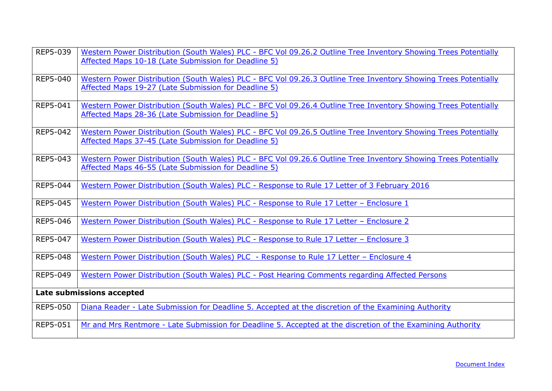| REP5-039        | Western Power Distribution (South Wales) PLC - BFC Vol 09.26.2 Outline Tree Inventory Showing Trees Potentially<br>Affected Maps 10-18 (Late Submission for Deadline 5) |
|-----------------|-------------------------------------------------------------------------------------------------------------------------------------------------------------------------|
| REP5-040        | Western Power Distribution (South Wales) PLC - BFC Vol 09.26.3 Outline Tree Inventory Showing Trees Potentially<br>Affected Maps 19-27 (Late Submission for Deadline 5) |
| REP5-041        | Western Power Distribution (South Wales) PLC - BFC Vol 09.26.4 Outline Tree Inventory Showing Trees Potentially<br>Affected Maps 28-36 (Late Submission for Deadline 5) |
| REP5-042        | Western Power Distribution (South Wales) PLC - BFC Vol 09.26.5 Outline Tree Inventory Showing Trees Potentially<br>Affected Maps 37-45 (Late Submission for Deadline 5) |
| REP5-043        | Western Power Distribution (South Wales) PLC - BFC Vol 09.26.6 Outline Tree Inventory Showing Trees Potentially<br>Affected Maps 46-55 (Late Submission for Deadline 5) |
| REP5-044        | Western Power Distribution (South Wales) PLC - Response to Rule 17 Letter of 3 February 2016                                                                            |
| <b>REP5-045</b> | Western Power Distribution (South Wales) PLC - Response to Rule 17 Letter - Enclosure 1                                                                                 |
| REP5-046        | <u> Western Power Distribution (South Wales) PLC - Response to Rule 17 Letter - Enclosure 2</u>                                                                         |
| <b>REP5-047</b> | Western Power Distribution (South Wales) PLC - Response to Rule 17 Letter - Enclosure 3                                                                                 |
| <b>REP5-048</b> | Western Power Distribution (South Wales) PLC - Response to Rule 17 Letter - Enclosure 4                                                                                 |
| REP5-049        | Western Power Distribution (South Wales) PLC - Post Hearing Comments regarding Affected Persons                                                                         |
|                 | Late submissions accepted                                                                                                                                               |
| <b>REP5-050</b> | Diana Reader - Late Submission for Deadline 5. Accepted at the discretion of the Examining Authority                                                                    |
| REP5-051        | Mr and Mrs Rentmore - Late Submission for Deadline 5. Accepted at the discretion of the Examining Authority                                                             |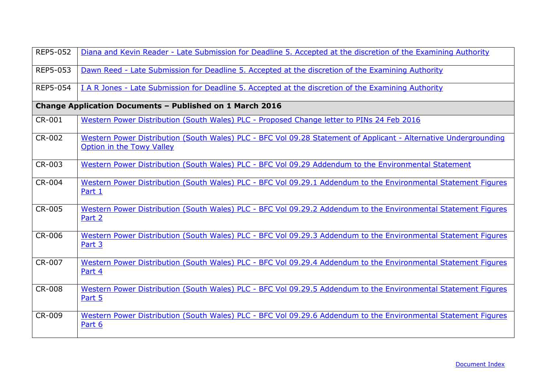<span id="page-41-0"></span>

| <b>REP5-052</b> | Diana and Kevin Reader - Late Submission for Deadline 5. Accepted at the discretion of the Examining Authority                                |
|-----------------|-----------------------------------------------------------------------------------------------------------------------------------------------|
| REP5-053        | Dawn Reed - Late Submission for Deadline 5. Accepted at the discretion of the Examining Authority                                             |
| <b>REP5-054</b> | I A R Jones - Late Submission for Deadline 5. Accepted at the discretion of the Examining Authority                                           |
|                 | <b>Change Application Documents - Published on 1 March 2016</b>                                                                               |
| CR-001          | Western Power Distribution (South Wales) PLC - Proposed Change letter to PINs 24 Feb 2016                                                     |
| <b>CR-002</b>   | Western Power Distribution (South Wales) PLC - BFC Vol 09.28 Statement of Applicant - Alternative Undergrounding<br>Option in the Towy Valley |
| CR-003          | Western Power Distribution (South Wales) PLC - BFC Vol 09.29 Addendum to the Environmental Statement                                          |
| CR-004          | Western Power Distribution (South Wales) PLC - BFC Vol 09.29.1 Addendum to the Environmental Statement Figures<br>Part 1                      |
| CR-005          | Western Power Distribution (South Wales) PLC - BFC Vol 09.29.2 Addendum to the Environmental Statement Figures<br>Part 2                      |
| <b>CR-006</b>   | Western Power Distribution (South Wales) PLC - BFC Vol 09.29.3 Addendum to the Environmental Statement Figures<br>Part 3                      |
| CR-007          | Western Power Distribution (South Wales) PLC - BFC Vol 09.29.4 Addendum to the Environmental Statement Figures<br>Part 4                      |
| <b>CR-008</b>   | Western Power Distribution (South Wales) PLC - BFC Vol 09.29.5 Addendum to the Environmental Statement Figures<br>Part 5                      |
| <b>CR-009</b>   | Western Power Distribution (South Wales) PLC - BFC Vol 09.29.6 Addendum to the Environmental Statement Figures<br>Part 6                      |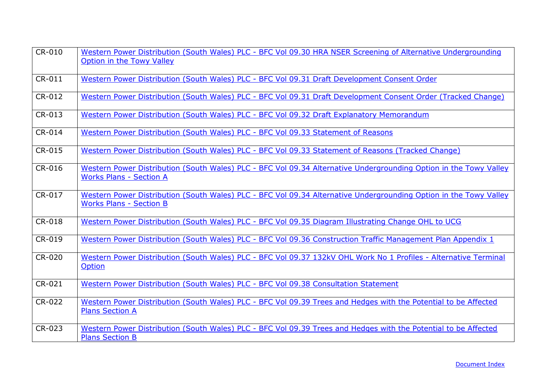| CR-010 | Western Power Distribution (South Wales) PLC - BFC Vol 09.30 HRA NSER Screening of Alternative Undergrounding<br>Option in the Towy Valley          |
|--------|-----------------------------------------------------------------------------------------------------------------------------------------------------|
| CR-011 | Western Power Distribution (South Wales) PLC - BFC Vol 09.31 Draft Development Consent Order                                                        |
| CR-012 | Western Power Distribution (South Wales) PLC - BFC Vol 09.31 Draft Development Consent Order (Tracked Change)                                       |
| CR-013 | Western Power Distribution (South Wales) PLC - BFC Vol 09.32 Draft Explanatory Memorandum                                                           |
| CR-014 | Western Power Distribution (South Wales) PLC - BFC Vol 09.33 Statement of Reasons                                                                   |
| CR-015 | Western Power Distribution (South Wales) PLC - BFC Vol 09.33 Statement of Reasons (Tracked Change)                                                  |
| CR-016 | Western Power Distribution (South Wales) PLC - BFC Vol 09.34 Alternative Undergrounding Option in the Towy Valley<br><b>Works Plans - Section A</b> |
| CR-017 | Western Power Distribution (South Wales) PLC - BFC Vol 09.34 Alternative Undergrounding Option in the Towy Valley<br><b>Works Plans - Section B</b> |
| CR-018 | Western Power Distribution (South Wales) PLC - BFC Vol 09.35 Diagram Illustrating Change OHL to UCG                                                 |
| CR-019 | Western Power Distribution (South Wales) PLC - BFC Vol 09.36 Construction Traffic Management Plan Appendix 1                                        |
| CR-020 | Western Power Distribution (South Wales) PLC - BFC Vol 09.37 132kV OHL Work No 1 Profiles - Alternative Terminal<br>Option                          |
| CR-021 | Western Power Distribution (South Wales) PLC - BFC Vol 09.38 Consultation Statement                                                                 |
| CR-022 | Western Power Distribution (South Wales) PLC - BFC Vol 09.39 Trees and Hedges with the Potential to be Affected<br><b>Plans Section A</b>           |
| CR-023 | Western Power Distribution (South Wales) PLC - BFC Vol 09.39 Trees and Hedges with the Potential to be Affected<br><b>Plans Section B</b>           |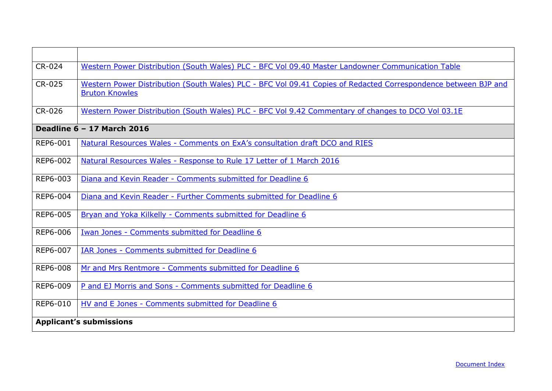<span id="page-43-0"></span>

| CR-024        | Western Power Distribution (South Wales) PLC - BFC Vol 09.40 Master Landowner Communication Table                                       |
|---------------|-----------------------------------------------------------------------------------------------------------------------------------------|
| <b>CR-025</b> | Western Power Distribution (South Wales) PLC - BFC Vol 09.41 Copies of Redacted Correspondence between BJP and<br><b>Bruton Knowles</b> |
| CR-026        | Western Power Distribution (South Wales) PLC - BFC Vol 9.42 Commentary of changes to DCO Vol 03.1E                                      |
|               | Deadline 6 - 17 March 2016                                                                                                              |
| REP6-001      | Natural Resources Wales - Comments on ExA's consultation draft DCO and RIES                                                             |
| REP6-002      | Natural Resources Wales - Response to Rule 17 Letter of 1 March 2016                                                                    |
| REP6-003      | Diana and Kevin Reader - Comments submitted for Deadline 6                                                                              |
| REP6-004      | Diana and Kevin Reader - Further Comments submitted for Deadline 6                                                                      |
| REP6-005      | Bryan and Yoka Kilkelly - Comments submitted for Deadline 6                                                                             |
| REP6-006      | Iwan Jones - Comments submitted for Deadline 6                                                                                          |
| REP6-007      | IAR Jones - Comments submitted for Deadline 6                                                                                           |
| REP6-008      | Mr and Mrs Rentmore - Comments submitted for Deadline 6                                                                                 |
| REP6-009      | P and EJ Morris and Sons - Comments submitted for Deadline 6                                                                            |
| REP6-010      | HV and E Jones - Comments submitted for Deadline 6                                                                                      |
|               | <b>Applicant's submissions</b>                                                                                                          |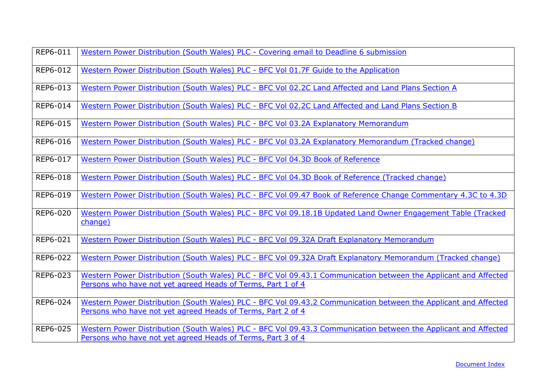| REP6-011 | Western Power Distribution (South Wales) PLC - Covering email to Deadline 6 submission                                                                                         |
|----------|--------------------------------------------------------------------------------------------------------------------------------------------------------------------------------|
| REP6-012 | Western Power Distribution (South Wales) PLC - BFC Vol 01.7F Guide to the Application                                                                                          |
| REP6-013 | Western Power Distribution (South Wales) PLC - BFC Vol 02.2C Land Affected and Land Plans Section A                                                                            |
| REP6-014 | Western Power Distribution (South Wales) PLC - BFC Vol 02.2C Land Affected and Land Plans Section B                                                                            |
| REP6-015 | Western Power Distribution (South Wales) PLC - BFC Vol 03.2A Explanatory Memorandum                                                                                            |
| REP6-016 | Western Power Distribution (South Wales) PLC - BFC Vol 03.2A Explanatory Memorandum (Tracked change)                                                                           |
| REP6-017 | Western Power Distribution (South Wales) PLC - BFC Vol 04.3D Book of Reference                                                                                                 |
| REP6-018 | Western Power Distribution (South Wales) PLC - BFC Vol 04.3D Book of Reference (Tracked change)                                                                                |
| REP6-019 | Western Power Distribution (South Wales) PLC - BFC Vol 09.47 Book of Reference Change Commentary 4.3C to 4.3D                                                                  |
| REP6-020 | Western Power Distribution (South Wales) PLC - BFC Vol 09.18.1B Updated Land Owner Engagement Table (Tracked<br>change)                                                        |
| REP6-021 | Western Power Distribution (South Wales) PLC - BFC Vol 09.32A Draft Explanatory Memorandum                                                                                     |
| REP6-022 | Western Power Distribution (South Wales) PLC - BFC Vol 09.32A Draft Explanatory Memorandum (Tracked change)                                                                    |
| REP6-023 | Western Power Distribution (South Wales) PLC - BFC Vol 09.43.1 Communication between the Applicant and Affected<br>Persons who have not yet agreed Heads of Terms, Part 1 of 4 |
| REP6-024 | Western Power Distribution (South Wales) PLC - BFC Vol 09.43.2 Communication between the Applicant and Affected<br>Persons who have not yet agreed Heads of Terms, Part 2 of 4 |
| REP6-025 | Western Power Distribution (South Wales) PLC - BFC Vol 09.43.3 Communication between the Applicant and Affected<br>Persons who have not yet agreed Heads of Terms, Part 3 of 4 |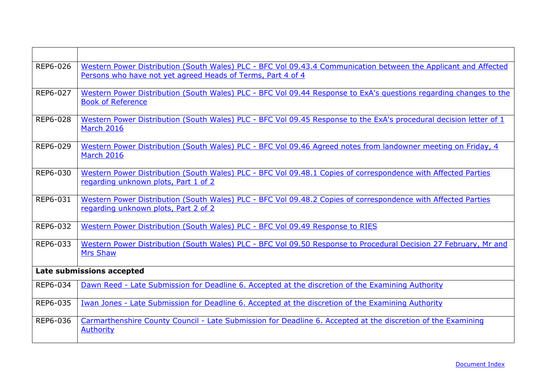| REP6-026 | Western Power Distribution (South Wales) PLC - BFC Vol 09.43.4 Communication between the Applicant and Affected<br>Persons who have not yet agreed Heads of Terms, Part 4 of 4 |  |
|----------|--------------------------------------------------------------------------------------------------------------------------------------------------------------------------------|--|
| REP6-027 | Western Power Distribution (South Wales) PLC - BFC Vol 09.44 Response to ExA's questions regarding changes to the<br><b>Book of Reference</b>                                  |  |
| REP6-028 | Western Power Distribution (South Wales) PLC - BFC Vol 09.45 Response to the ExA's procedural decision letter of 1<br><b>March 2016</b>                                        |  |
| REP6-029 | Western Power Distribution (South Wales) PLC - BFC Vol 09.46 Agreed notes from landowner meeting on Friday, 4<br>March 2016                                                    |  |
| REP6-030 | Western Power Distribution (South Wales) PLC - BFC Vol 09.48.1 Copies of correspondence with Affected Parties<br>regarding unknown plots, Part 1 of 2                          |  |
| REP6-031 | Western Power Distribution (South Wales) PLC - BFC Vol 09.48.2 Copies of correspondence with Affected Parties<br>regarding unknown plots, Part 2 of 2                          |  |
| REP6-032 | Western Power Distribution (South Wales) PLC - BFC Vol 09.49 Response to RIES                                                                                                  |  |
| REP6-033 | Western Power Distribution (South Wales) PLC - BFC Vol 09.50 Response to Procedural Decision 27 February, Mr and<br><b>Mrs Shaw</b>                                            |  |
|          | Late submissions accepted                                                                                                                                                      |  |
| REP6-034 | Dawn Reed - Late Submission for Deadline 6. Accepted at the discretion of the Examining Authority                                                                              |  |
| REP6-035 | Iwan Jones - Late Submission for Deadline 6. Accepted at the discretion of the Examining Authority                                                                             |  |
| REP6-036 | Carmarthenshire County Council - Late Submission for Deadline 6. Accepted at the discretion of the Examining<br>Authority                                                      |  |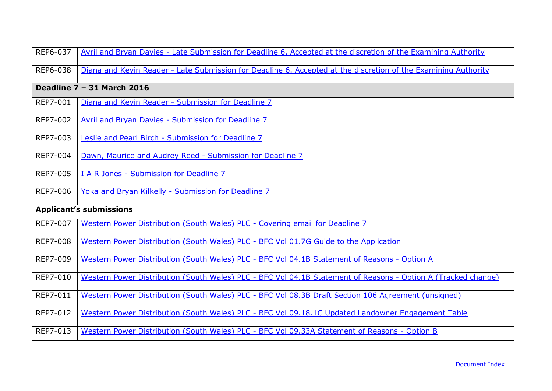<span id="page-46-0"></span>

| REP6-037        | Avril and Bryan Davies - Late Submission for Deadline 6. Accepted at the discretion of the Examining Authority |
|-----------------|----------------------------------------------------------------------------------------------------------------|
| REP6-038        | Diana and Kevin Reader - Late Submission for Deadline 6. Accepted at the discretion of the Examining Authority |
|                 | Deadline 7 - 31 March 2016                                                                                     |
| REP7-001        | Diana and Kevin Reader - Submission for Deadline 7                                                             |
| REP7-002        | <b>Avril and Bryan Davies - Submission for Deadline 7</b>                                                      |
| REP7-003        | Leslie and Pearl Birch - Submission for Deadline 7                                                             |
| <b>REP7-004</b> | Dawn, Maurice and Audrey Reed - Submission for Deadline 7                                                      |
| REP7-005        | I A R Jones - Submission for Deadline 7                                                                        |
| REP7-006        | Yoka and Bryan Kilkelly - Submission for Deadline 7                                                            |
|                 | <b>Applicant's submissions</b>                                                                                 |
| REP7-007        | Western Power Distribution (South Wales) PLC - Covering email for Deadline 7                                   |
| <b>REP7-008</b> | Western Power Distribution (South Wales) PLC - BFC Vol 01.7G Guide to the Application                          |
| REP7-009        | Western Power Distribution (South Wales) PLC - BFC Vol 04.1B Statement of Reasons - Option A                   |
| REP7-010        | Western Power Distribution (South Wales) PLC - BFC Vol 04.1B Statement of Reasons - Option A (Tracked change)  |
| REP7-011        | Western Power Distribution (South Wales) PLC - BFC Vol 08.3B Draft Section 106 Agreement (unsigned)            |
| REP7-012        | Western Power Distribution (South Wales) PLC - BFC Vol 09.18.1C Updated Landowner Engagement Table             |
| REP7-013        | Western Power Distribution (South Wales) PLC - BFC Vol 09.33A Statement of Reasons - Option B                  |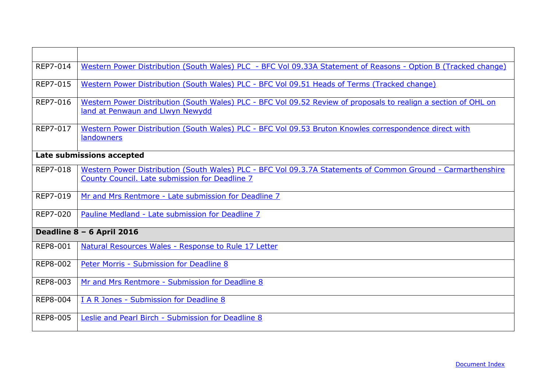<span id="page-47-0"></span>

| REP7-014        | Western Power Distribution (South Wales) PLC - BFC Vol 09.33A Statement of Reasons - Option B (Tracked change)                                                 |
|-----------------|----------------------------------------------------------------------------------------------------------------------------------------------------------------|
| <b>REP7-015</b> | Western Power Distribution (South Wales) PLC - BFC Vol 09.51 Heads of Terms (Tracked change)                                                                   |
| REP7-016        | Western Power Distribution (South Wales) PLC - BFC Vol 09.52 Review of proposals to realign a section of OHL on<br>land at Penwaun and Llwyn Newydd            |
| REP7-017        | Western Power Distribution (South Wales) PLC - BFC Vol 09.53 Bruton Knowles correspondence direct with<br>landowners                                           |
|                 | Late submissions accepted                                                                                                                                      |
| REP7-018        | Western Power Distribution (South Wales) PLC - BFC Vol 09.3.7A Statements of Common Ground - Carmarthenshire<br>County Council. Late submission for Deadline 7 |
| REP7-019        | Mr and Mrs Rentmore - Late submission for Deadline 7                                                                                                           |
| REP7-020        | Pauline Medland - Late submission for Deadline 7                                                                                                               |
|                 | Deadline 8 - 6 April 2016                                                                                                                                      |
| <b>REP8-001</b> | Natural Resources Wales - Response to Rule 17 Letter                                                                                                           |
| REP8-002        | Peter Morris - Submission for Deadline 8                                                                                                                       |
| REP8-003        | Mr and Mrs Rentmore - Submission for Deadline 8                                                                                                                |
| REP8-004        | I A R Jones - Submission for Deadline 8                                                                                                                        |
| <b>REP8-005</b> | Leslie and Pearl Birch - Submission for Deadline 8                                                                                                             |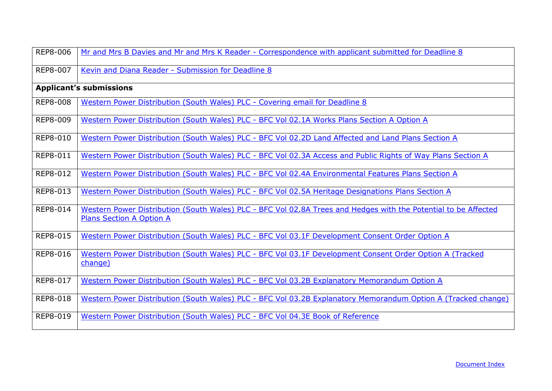| <b>REP8-006</b> | Mr and Mrs B Davies and Mr and Mrs K Reader - Correspondence with applicant submitted for Deadline 8                                               |
|-----------------|----------------------------------------------------------------------------------------------------------------------------------------------------|
| <b>REP8-007</b> | Kevin and Diana Reader - Submission for Deadline 8                                                                                                 |
|                 | <b>Applicant's submissions</b>                                                                                                                     |
| <b>REP8-008</b> | Western Power Distribution (South Wales) PLC - Covering email for Deadline 8                                                                       |
| <b>REP8-009</b> | Western Power Distribution (South Wales) PLC - BFC Vol 02.1A Works Plans Section A Option A                                                        |
| REP8-010        | Western Power Distribution (South Wales) PLC - BFC Vol 02.2D Land Affected and Land Plans Section A                                                |
| REP8-011        | Western Power Distribution (South Wales) PLC - BFC Vol 02.3A Access and Public Rights of Way Plans Section A                                       |
| <b>REP8-012</b> | Western Power Distribution (South Wales) PLC - BFC Vol 02.4A Environmental Features Plans Section A                                                |
| REP8-013        | Western Power Distribution (South Wales) PLC - BFC Vol 02.5A Heritage Designations Plans Section A                                                 |
| REP8-014        | Western Power Distribution (South Wales) PLC - BFC Vol 02.8A Trees and Hedges with the Potential to be Affected<br><b>Plans Section A Option A</b> |
| REP8-015        | Western Power Distribution (South Wales) PLC - BFC Vol 03.1F Development Consent Order Option A                                                    |
| REP8-016        | Western Power Distribution (South Wales) PLC - BFC Vol 03.1F Development Consent Order Option A (Tracked<br>change)                                |
| REP8-017        | Western Power Distribution (South Wales) PLC - BFC Vol 03.2B Explanatory Memorandum Option A                                                       |
| REP8-018        | Western Power Distribution (South Wales) PLC - BFC Vol 03.2B Explanatory Memorandum Option A (Tracked change)                                      |
| REP8-019        | Western Power Distribution (South Wales) PLC - BFC Vol 04.3E Book of Reference                                                                     |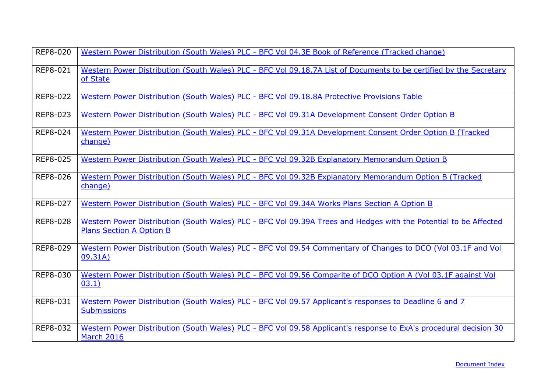| REP8-020        | Western Power Distribution (South Wales) PLC - BFC Vol 04.3E Book of Reference (Tracked change)                                                     |
|-----------------|-----------------------------------------------------------------------------------------------------------------------------------------------------|
| <b>REP8-021</b> | Western Power Distribution (South Wales) PLC - BFC Vol 09.18.7A List of Documents to be certified by the Secretary<br>of State                      |
| <b>REP8-022</b> | Western Power Distribution (South Wales) PLC - BFC Vol 09.18.8A Protective Provisions Table                                                         |
| REP8-023        | Western Power Distribution (South Wales) PLC - BFC Vol 09.31A Development Consent Order Option B                                                    |
| REP8-024        | Western Power Distribution (South Wales) PLC - BFC Vol 09.31A Development Consent Order Option B (Tracked<br>change)                                |
| REP8-025        | Western Power Distribution (South Wales) PLC - BFC Vol 09.32B Explanatory Memorandum Option B                                                       |
| REP8-026        | Western Power Distribution (South Wales) PLC - BFC Vol 09.32B Explanatory Memorandum Option B (Tracked<br>change)                                   |
| <b>REP8-027</b> | Western Power Distribution (South Wales) PLC - BFC Vol 09.34A Works Plans Section A Option B                                                        |
| REP8-028        | Western Power Distribution (South Wales) PLC - BFC Vol 09.39A Trees and Hedges with the Potential to be Affected<br><b>Plans Section A Option B</b> |
| <b>REP8-029</b> | Western Power Distribution (South Wales) PLC - BFC Vol 09.54 Commentary of Changes to DCO (Vol 03.1F and Vol<br>09.31A)                             |
| REP8-030        | Western Power Distribution (South Wales) PLC - BFC Vol 09.56 Comparite of DCO Option A (Vol 03.1F against Vol<br>03.1)                              |
| REP8-031        | Western Power Distribution (South Wales) PLC - BFC Vol 09.57 Applicant's responses to Deadline 6 and 7<br><b>Submissions</b>                        |
| REP8-032        | Western Power Distribution (South Wales) PLC - BFC Vol 09.58 Applicant's response to ExA's procedural decision 30<br>March 2016                     |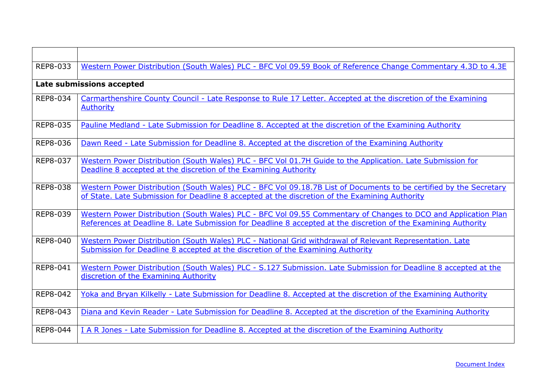| REP8-033 | Western Power Distribution (South Wales) PLC - BFC Vol 09.59 Book of Reference Change Commentary 4.3D to 4.3E                                                                                                                    |
|----------|----------------------------------------------------------------------------------------------------------------------------------------------------------------------------------------------------------------------------------|
|          | Late submissions accepted                                                                                                                                                                                                        |
| REP8-034 | Carmarthenshire County Council - Late Response to Rule 17 Letter. Accepted at the discretion of the Examining<br><b>Authority</b>                                                                                                |
| REP8-035 | Pauline Medland - Late Submission for Deadline 8. Accepted at the discretion of the Examining Authority                                                                                                                          |
| REP8-036 | Dawn Reed - Late Submission for Deadline 8. Accepted at the discretion of the Examining Authority                                                                                                                                |
| REP8-037 | Western Power Distribution (South Wales) PLC - BFC Vol 01.7H Guide to the Application. Late Submission for<br>Deadline 8 accepted at the discretion of the Examining Authority                                                   |
| REP8-038 | Western Power Distribution (South Wales) PLC - BFC Vol 09.18.7B List of Documents to be certified by the Secretary<br>of State. Late Submission for Deadline 8 accepted at the discretion of the Examining Authority             |
| REP8-039 | Western Power Distribution (South Wales) PLC - BFC Vol 09.55 Commentary of Changes to DCO and Application Plan<br>References at Deadline 8. Late Submission for Deadline 8 accepted at the discretion of the Examining Authority |
| REP8-040 | Western Power Distribution (South Wales) PLC - National Grid withdrawal of Relevant Representation. Late<br>Submission for Deadline 8 accepted at the discretion of the Examining Authority                                      |
| REP8-041 | Western Power Distribution (South Wales) PLC - S.127 Submission. Late Submission for Deadline 8 accepted at the<br>discretion of the Examining Authority                                                                         |
| REP8-042 | Yoka and Bryan Kilkelly - Late Submission for Deadline 8. Accepted at the discretion of the Examining Authority                                                                                                                  |
| REP8-043 | Diana and Kevin Reader - Late Submission for Deadline 8. Accepted at the discretion of the Examining Authority                                                                                                                   |
| REP8-044 | I A R Jones - Late Submission for Deadline 8. Accepted at the discretion of the Examining Authority                                                                                                                              |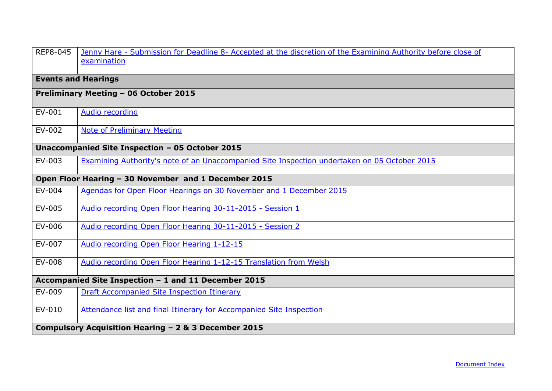<span id="page-51-0"></span>

| REP8-045                                             | Jenny Hare - Submission for Deadline 8- Accepted at the discretion of the Examining Authority before close of<br>examination |  |
|------------------------------------------------------|------------------------------------------------------------------------------------------------------------------------------|--|
|                                                      | <b>Events and Hearings</b>                                                                                                   |  |
| Preliminary Meeting - 06 October 2015                |                                                                                                                              |  |
| EV-001                                               | Audio recording                                                                                                              |  |
| EV-002                                               | <b>Note of Preliminary Meeting</b>                                                                                           |  |
| Unaccompanied Site Inspection - 05 October 2015      |                                                                                                                              |  |
| EV-003                                               | Examining Authority's note of an Unaccompanied Site Inspection undertaken on 05 October 2015                                 |  |
| Open Floor Hearing - 30 November and 1 December 2015 |                                                                                                                              |  |
| EV-004                                               | Agendas for Open Floor Hearings on 30 November and 1 December 2015                                                           |  |
| EV-005                                               | Audio recording Open Floor Hearing 30-11-2015 - Session 1                                                                    |  |
| EV-006                                               | Audio recording Open Floor Hearing 30-11-2015 - Session 2                                                                    |  |
| EV-007                                               | Audio recording Open Floor Hearing 1-12-15                                                                                   |  |
| EV-008                                               | Audio recording Open Floor Hearing 1-12-15 Translation from Welsh                                                            |  |
| Accompanied Site Inspection - 1 and 11 December 2015 |                                                                                                                              |  |
| EV-009                                               | Draft Accompanied Site Inspection Itinerary                                                                                  |  |
| EV-010                                               | Attendance list and final Itinerary for Accompanied Site Inspection                                                          |  |
|                                                      | Compulsory Acquisition Hearing - 2 & 3 December 2015                                                                         |  |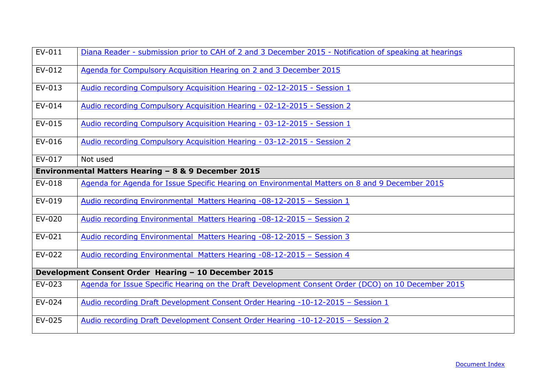| EV-011                                               | Diana Reader - submission prior to CAH of 2 and 3 December 2015 - Notification of speaking at hearings |  |
|------------------------------------------------------|--------------------------------------------------------------------------------------------------------|--|
| EV-012                                               | Agenda for Compulsory Acquisition Hearing on 2 and 3 December 2015                                     |  |
| EV-013                                               | Audio recording Compulsory Acquisition Hearing - 02-12-2015 - Session 1                                |  |
| EV-014                                               | Audio recording Compulsory Acquisition Hearing - 02-12-2015 - Session 2                                |  |
| EV-015                                               | Audio recording Compulsory Acquisition Hearing - 03-12-2015 - Session 1                                |  |
| EV-016                                               | Audio recording Compulsory Acquisition Hearing - 03-12-2015 - Session 2                                |  |
| EV-017                                               | Not used                                                                                               |  |
|                                                      | Environmental Matters Hearing - 8 & 9 December 2015                                                    |  |
| EV-018                                               | Agenda for Agenda for Issue Specific Hearing on Environmental Matters on 8 and 9 December 2015         |  |
| EV-019                                               | Audio recording Environmental Matters Hearing -08-12-2015 - Session 1                                  |  |
| EV-020                                               | Audio recording Environmental Matters Hearing -08-12-2015 - Session 2                                  |  |
| EV-021                                               | Audio recording Environmental Matters Hearing -08-12-2015 - Session 3                                  |  |
| EV-022                                               | Audio recording Environmental Matters Hearing -08-12-2015 - Session 4                                  |  |
| Development Consent Order Hearing - 10 December 2015 |                                                                                                        |  |
| EV-023                                               | Agenda for Issue Specific Hearing on the Draft Development Consent Order (DCO) on 10 December 2015     |  |
| EV-024                                               | Audio recording Draft Development Consent Order Hearing -10-12-2015 - Session 1                        |  |
| EV-025                                               | Audio recording Draft Development Consent Order Hearing -10-12-2015 - Session 2                        |  |